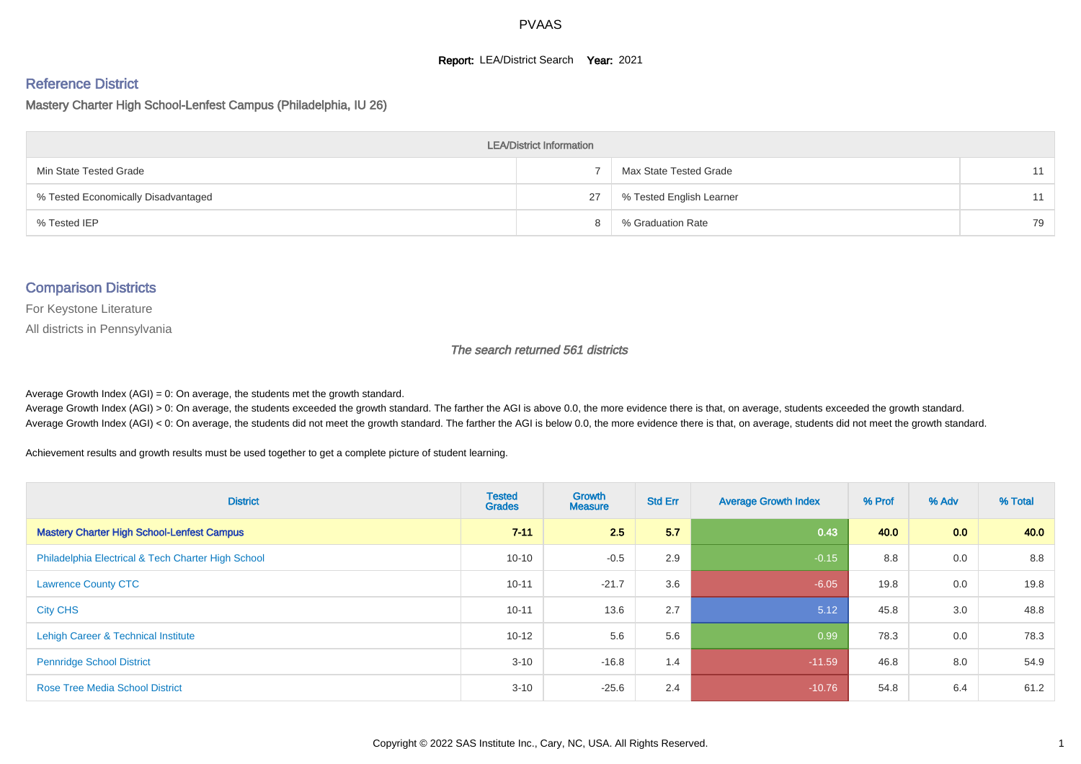#### **Report: LEA/District Search Year: 2021**

#### Reference District

Mastery Charter High School-Lenfest Campus (Philadelphia, IU 26)

| <b>LEA/District Information</b>     |    |                          |    |  |  |  |  |  |  |  |
|-------------------------------------|----|--------------------------|----|--|--|--|--|--|--|--|
| Min State Tested Grade              |    | Max State Tested Grade   | 11 |  |  |  |  |  |  |  |
| % Tested Economically Disadvantaged | 27 | % Tested English Learner | 11 |  |  |  |  |  |  |  |
| % Tested IEP                        |    | % Graduation Rate        | 79 |  |  |  |  |  |  |  |

#### Comparison Districts

For Keystone Literature

All districts in Pennsylvania

The search returned 561 districts

Average Growth Index  $(AGI) = 0$ : On average, the students met the growth standard.

Average Growth Index (AGI) > 0: On average, the students exceeded the growth standard. The farther the AGI is above 0.0, the more evidence there is that, on average, students exceeded the growth standard. Average Growth Index (AGI) < 0: On average, the students did not meet the growth standard. The farther the AGI is below 0.0, the more evidence there is that, on average, students did not meet the growth standard.

Achievement results and growth results must be used together to get a complete picture of student learning.

| <b>District</b>                                    | <b>Tested</b><br><b>Grades</b> | Growth<br><b>Measure</b> | <b>Std Err</b> | <b>Average Growth Index</b> | % Prof | % Adv            | % Total |
|----------------------------------------------------|--------------------------------|--------------------------|----------------|-----------------------------|--------|------------------|---------|
| <b>Mastery Charter High School-Lenfest Campus</b>  | $7 - 11$                       | 2.5                      | 5.7            | 0.43                        | 40.0   | 0.0 <sub>1</sub> | 40.0    |
| Philadelphia Electrical & Tech Charter High School | $10 - 10$                      | $-0.5$                   | 2.9            | $-0.15$                     | 8.8    | 0.0              | 8.8     |
| <b>Lawrence County CTC</b>                         | $10 - 11$                      | $-21.7$                  | 3.6            | $-6.05$                     | 19.8   | 0.0              | 19.8    |
| <b>City CHS</b>                                    | $10 - 11$                      | 13.6                     | 2.7            | 5.12                        | 45.8   | 3.0              | 48.8    |
| Lehigh Career & Technical Institute                | $10 - 12$                      | 5.6                      | 5.6            | 0.99                        | 78.3   | 0.0              | 78.3    |
| <b>Pennridge School District</b>                   | $3 - 10$                       | $-16.8$                  | 1.4            | $-11.59$                    | 46.8   | 8.0              | 54.9    |
| <b>Rose Tree Media School District</b>             | $3 - 10$                       | $-25.6$                  | 2.4            | $-10.76$                    | 54.8   | 6.4              | 61.2    |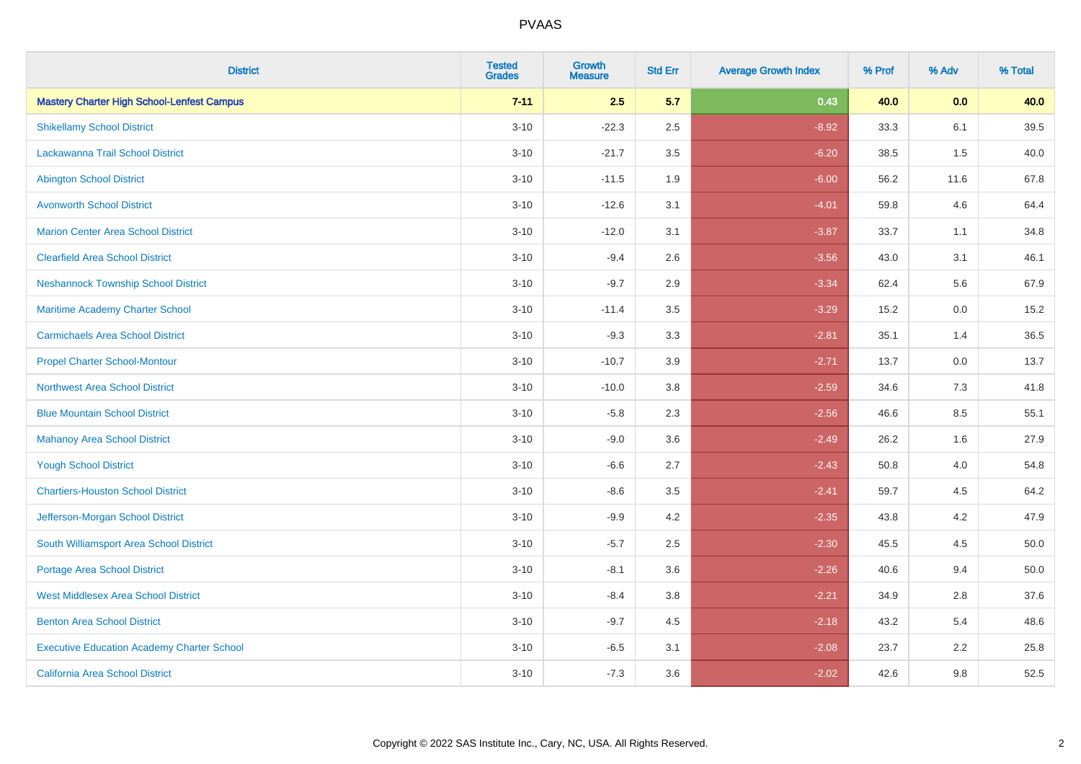| <b>District</b>                                   | <b>Tested</b><br><b>Grades</b> | Growth<br><b>Measure</b> | <b>Std Err</b> | <b>Average Growth Index</b> | % Prof | % Adv   | % Total |
|---------------------------------------------------|--------------------------------|--------------------------|----------------|-----------------------------|--------|---------|---------|
| <b>Mastery Charter High School-Lenfest Campus</b> | $7 - 11$                       | 2.5                      | 5.7            | 0.43                        | 40.0   | 0.0     | 40.0    |
| <b>Shikellamy School District</b>                 | $3 - 10$                       | $-22.3$                  | 2.5            | $-8.92$                     | 33.3   | 6.1     | 39.5    |
| Lackawanna Trail School District                  | $3 - 10$                       | $-21.7$                  | 3.5            | $-6.20$                     | 38.5   | 1.5     | 40.0    |
| <b>Abington School District</b>                   | $3 - 10$                       | $-11.5$                  | 1.9            | $-6.00$                     | 56.2   | 11.6    | 67.8    |
| <b>Avonworth School District</b>                  | $3 - 10$                       | $-12.6$                  | 3.1            | $-4.01$                     | 59.8   | 4.6     | 64.4    |
| <b>Marion Center Area School District</b>         | $3 - 10$                       | $-12.0$                  | 3.1            | $-3.87$                     | 33.7   | 1.1     | 34.8    |
| <b>Clearfield Area School District</b>            | $3 - 10$                       | $-9.4$                   | 2.6            | $-3.56$                     | 43.0   | 3.1     | 46.1    |
| <b>Neshannock Township School District</b>        | $3 - 10$                       | $-9.7$                   | 2.9            | $-3.34$                     | 62.4   | 5.6     | 67.9    |
| Maritime Academy Charter School                   | $3 - 10$                       | $-11.4$                  | 3.5            | $-3.29$                     | 15.2   | $0.0\,$ | 15.2    |
| <b>Carmichaels Area School District</b>           | $3 - 10$                       | $-9.3$                   | 3.3            | $-2.81$                     | 35.1   | 1.4     | 36.5    |
| <b>Propel Charter School-Montour</b>              | $3 - 10$                       | $-10.7$                  | 3.9            | $-2.71$                     | 13.7   | 0.0     | 13.7    |
| <b>Northwest Area School District</b>             | $3 - 10$                       | $-10.0$                  | 3.8            | $-2.59$                     | 34.6   | 7.3     | 41.8    |
| <b>Blue Mountain School District</b>              | $3 - 10$                       | $-5.8$                   | 2.3            | $-2.56$                     | 46.6   | 8.5     | 55.1    |
| <b>Mahanoy Area School District</b>               | $3 - 10$                       | $-9.0$                   | 3.6            | $-2.49$                     | 26.2   | 1.6     | 27.9    |
| <b>Yough School District</b>                      | $3 - 10$                       | $-6.6$                   | 2.7            | $-2.43$                     | 50.8   | 4.0     | 54.8    |
| <b>Chartiers-Houston School District</b>          | $3 - 10$                       | $-8.6$                   | 3.5            | $-2.41$                     | 59.7   | 4.5     | 64.2    |
| Jefferson-Morgan School District                  | $3 - 10$                       | $-9.9$                   | 4.2            | $-2.35$                     | 43.8   | 4.2     | 47.9    |
| South Williamsport Area School District           | $3 - 10$                       | $-5.7$                   | 2.5            | $-2.30$                     | 45.5   | 4.5     | 50.0    |
| <b>Portage Area School District</b>               | $3 - 10$                       | $-8.1$                   | 3.6            | $-2.26$                     | 40.6   | 9.4     | 50.0    |
| <b>West Middlesex Area School District</b>        | $3 - 10$                       | $-8.4$                   | 3.8            | $-2.21$                     | 34.9   | 2.8     | 37.6    |
| <b>Benton Area School District</b>                | $3 - 10$                       | $-9.7$                   | 4.5            | $-2.18$                     | 43.2   | 5.4     | 48.6    |
| <b>Executive Education Academy Charter School</b> | $3 - 10$                       | $-6.5$                   | 3.1            | $-2.08$                     | 23.7   | 2.2     | 25.8    |
| <b>California Area School District</b>            | $3 - 10$                       | $-7.3$                   | 3.6            | $-2.02$                     | 42.6   | 9.8     | 52.5    |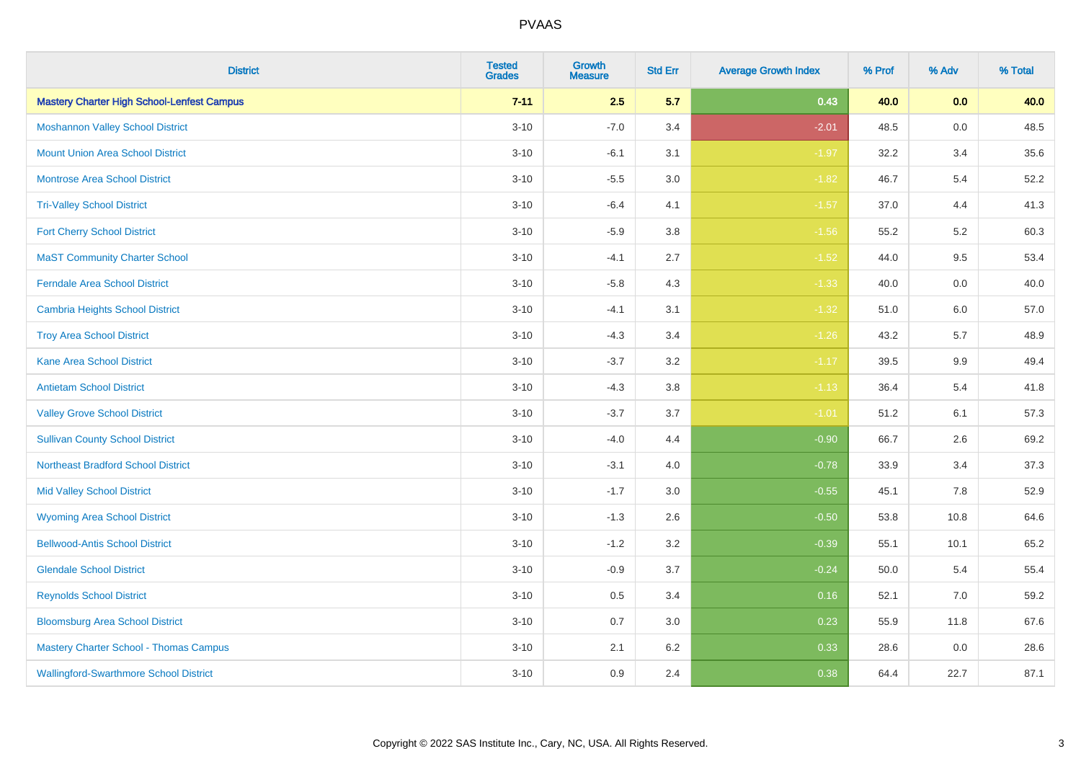| <b>District</b>                                   | <b>Tested</b><br><b>Grades</b> | <b>Growth</b><br><b>Measure</b> | <b>Std Err</b> | <b>Average Growth Index</b> | % Prof | % Adv   | % Total |
|---------------------------------------------------|--------------------------------|---------------------------------|----------------|-----------------------------|--------|---------|---------|
| <b>Mastery Charter High School-Lenfest Campus</b> | $7 - 11$                       | 2.5                             | 5.7            | 0.43                        | 40.0   | 0.0     | 40.0    |
| <b>Moshannon Valley School District</b>           | $3 - 10$                       | $-7.0$                          | 3.4            | $-2.01$                     | 48.5   | 0.0     | 48.5    |
| <b>Mount Union Area School District</b>           | $3 - 10$                       | $-6.1$                          | 3.1            | $-1.97$                     | 32.2   | 3.4     | 35.6    |
| <b>Montrose Area School District</b>              | $3 - 10$                       | $-5.5$                          | 3.0            | $-1.82$                     | 46.7   | 5.4     | 52.2    |
| <b>Tri-Valley School District</b>                 | $3 - 10$                       | $-6.4$                          | 4.1            | $-1.57$                     | 37.0   | 4.4     | 41.3    |
| <b>Fort Cherry School District</b>                | $3 - 10$                       | $-5.9$                          | 3.8            | $-1.56$                     | 55.2   | 5.2     | 60.3    |
| <b>MaST Community Charter School</b>              | $3 - 10$                       | $-4.1$                          | 2.7            | $-1.52$                     | 44.0   | 9.5     | 53.4    |
| <b>Ferndale Area School District</b>              | $3 - 10$                       | $-5.8$                          | 4.3            | $-1.33$                     | 40.0   | 0.0     | 40.0    |
| <b>Cambria Heights School District</b>            | $3 - 10$                       | $-4.1$                          | 3.1            | $-1.32$                     | 51.0   | 6.0     | 57.0    |
| <b>Troy Area School District</b>                  | $3 - 10$                       | $-4.3$                          | 3.4            | $-1.26$                     | 43.2   | 5.7     | 48.9    |
| <b>Kane Area School District</b>                  | $3 - 10$                       | $-3.7$                          | 3.2            | $-1.17$                     | 39.5   | 9.9     | 49.4    |
| <b>Antietam School District</b>                   | $3 - 10$                       | $-4.3$                          | 3.8            | $-1.13$                     | 36.4   | 5.4     | 41.8    |
| <b>Valley Grove School District</b>               | $3 - 10$                       | $-3.7$                          | 3.7            | $-1.01$                     | 51.2   | 6.1     | 57.3    |
| <b>Sullivan County School District</b>            | $3 - 10$                       | $-4.0$                          | 4.4            | $-0.90$                     | 66.7   | 2.6     | 69.2    |
| <b>Northeast Bradford School District</b>         | $3 - 10$                       | $-3.1$                          | 4.0            | $-0.78$                     | 33.9   | 3.4     | 37.3    |
| <b>Mid Valley School District</b>                 | $3 - 10$                       | $-1.7$                          | 3.0            | $-0.55$                     | 45.1   | $7.8\,$ | 52.9    |
| <b>Wyoming Area School District</b>               | $3 - 10$                       | $-1.3$                          | 2.6            | $-0.50$                     | 53.8   | 10.8    | 64.6    |
| <b>Bellwood-Antis School District</b>             | $3 - 10$                       | $-1.2$                          | 3.2            | $-0.39$                     | 55.1   | 10.1    | 65.2    |
| <b>Glendale School District</b>                   | $3 - 10$                       | $-0.9$                          | 3.7            | $-0.24$                     | 50.0   | 5.4     | 55.4    |
| <b>Reynolds School District</b>                   | $3 - 10$                       | 0.5                             | 3.4            | 0.16                        | 52.1   | 7.0     | 59.2    |
| <b>Bloomsburg Area School District</b>            | $3 - 10$                       | 0.7                             | 3.0            | 0.23                        | 55.9   | 11.8    | 67.6    |
| <b>Mastery Charter School - Thomas Campus</b>     | $3 - 10$                       | 2.1                             | 6.2            | 0.33                        | 28.6   | 0.0     | 28.6    |
| <b>Wallingford-Swarthmore School District</b>     | $3 - 10$                       | 0.9                             | 2.4            | 0.38                        | 64.4   | 22.7    | 87.1    |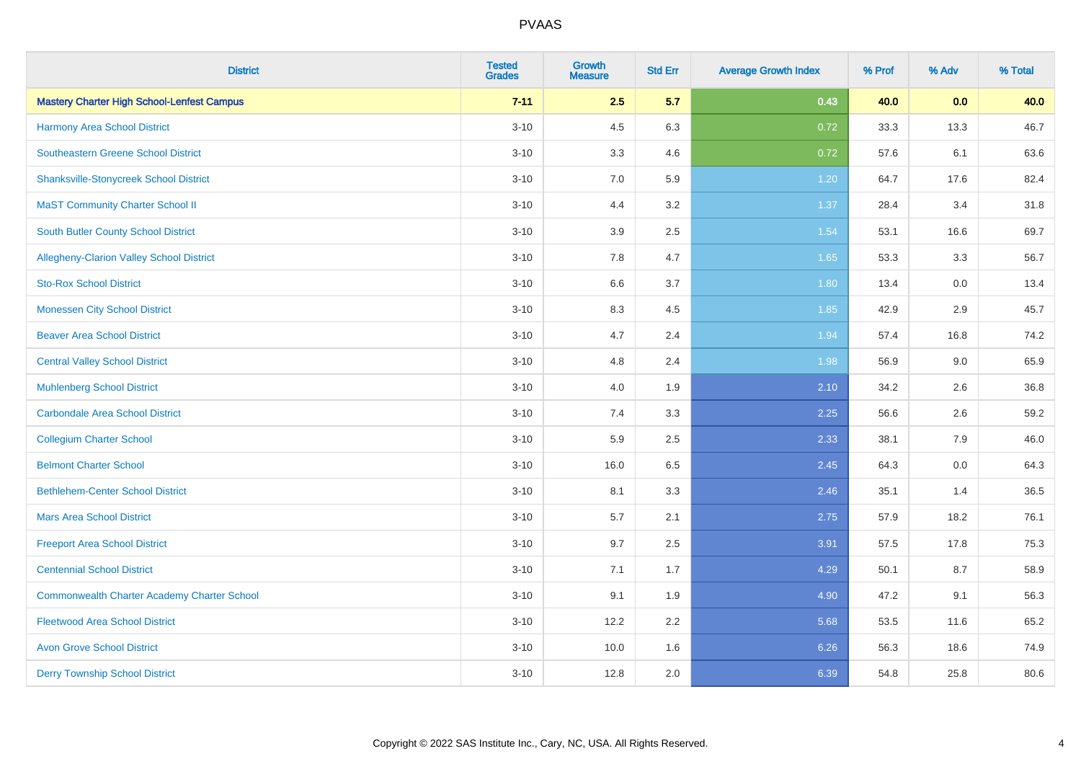| <b>District</b>                                    | <b>Tested</b><br><b>Grades</b> | <b>Growth</b><br><b>Measure</b> | <b>Std Err</b> | <b>Average Growth Index</b> | % Prof | % Adv | % Total |
|----------------------------------------------------|--------------------------------|---------------------------------|----------------|-----------------------------|--------|-------|---------|
| <b>Mastery Charter High School-Lenfest Campus</b>  | $7 - 11$                       | 2.5                             | 5.7            | 0.43                        | 40.0   | 0.0   | 40.0    |
| Harmony Area School District                       | $3 - 10$                       | 4.5                             | 6.3            | 0.72                        | 33.3   | 13.3  | 46.7    |
| <b>Southeastern Greene School District</b>         | $3 - 10$                       | 3.3                             | 4.6            | 0.72                        | 57.6   | 6.1   | 63.6    |
| <b>Shanksville-Stonycreek School District</b>      | $3 - 10$                       | 7.0                             | 5.9            | 1.20                        | 64.7   | 17.6  | 82.4    |
| <b>MaST Community Charter School II</b>            | $3 - 10$                       | 4.4                             | 3.2            | 1.37                        | 28.4   | 3.4   | 31.8    |
| South Butler County School District                | $3 - 10$                       | 3.9                             | 2.5            | 1.54                        | 53.1   | 16.6  | 69.7    |
| Allegheny-Clarion Valley School District           | $3 - 10$                       | 7.8                             | 4.7            | 1.65                        | 53.3   | 3.3   | 56.7    |
| <b>Sto-Rox School District</b>                     | $3 - 10$                       | 6.6                             | 3.7            | 1.80                        | 13.4   | 0.0   | 13.4    |
| <b>Monessen City School District</b>               | $3 - 10$                       | 8.3                             | 4.5            | 1.85                        | 42.9   | 2.9   | 45.7    |
| <b>Beaver Area School District</b>                 | $3 - 10$                       | 4.7                             | 2.4            | 1.94                        | 57.4   | 16.8  | 74.2    |
| <b>Central Valley School District</b>              | $3 - 10$                       | 4.8                             | 2.4            | 1.98                        | 56.9   | 9.0   | 65.9    |
| <b>Muhlenberg School District</b>                  | $3 - 10$                       | 4.0                             | 1.9            | 2.10                        | 34.2   | 2.6   | 36.8    |
| <b>Carbondale Area School District</b>             | $3 - 10$                       | $7.4$                           | 3.3            | 2.25                        | 56.6   | 2.6   | 59.2    |
| <b>Collegium Charter School</b>                    | $3 - 10$                       | 5.9                             | 2.5            | 2.33                        | 38.1   | 7.9   | 46.0    |
| <b>Belmont Charter School</b>                      | $3 - 10$                       | 16.0                            | 6.5            | 2.45                        | 64.3   | 0.0   | 64.3    |
| <b>Bethlehem-Center School District</b>            | $3 - 10$                       | 8.1                             | 3.3            | 2.46                        | 35.1   | 1.4   | 36.5    |
| <b>Mars Area School District</b>                   | $3 - 10$                       | 5.7                             | 2.1            | 2.75                        | 57.9   | 18.2  | 76.1    |
| <b>Freeport Area School District</b>               | $3 - 10$                       | 9.7                             | 2.5            | 3.91                        | 57.5   | 17.8  | 75.3    |
| <b>Centennial School District</b>                  | $3 - 10$                       | 7.1                             | 1.7            | 4.29                        | 50.1   | 8.7   | 58.9    |
| <b>Commonwealth Charter Academy Charter School</b> | $3 - 10$                       | 9.1                             | 1.9            | 4.90                        | 47.2   | 9.1   | 56.3    |
| <b>Fleetwood Area School District</b>              | $3 - 10$                       | 12.2                            | 2.2            | 5.68                        | 53.5   | 11.6  | 65.2    |
| <b>Avon Grove School District</b>                  | $3 - 10$                       | 10.0                            | 1.6            | 6.26                        | 56.3   | 18.6  | 74.9    |
| <b>Derry Township School District</b>              | $3 - 10$                       | 12.8                            | 2.0            | 6.39                        | 54.8   | 25.8  | 80.6    |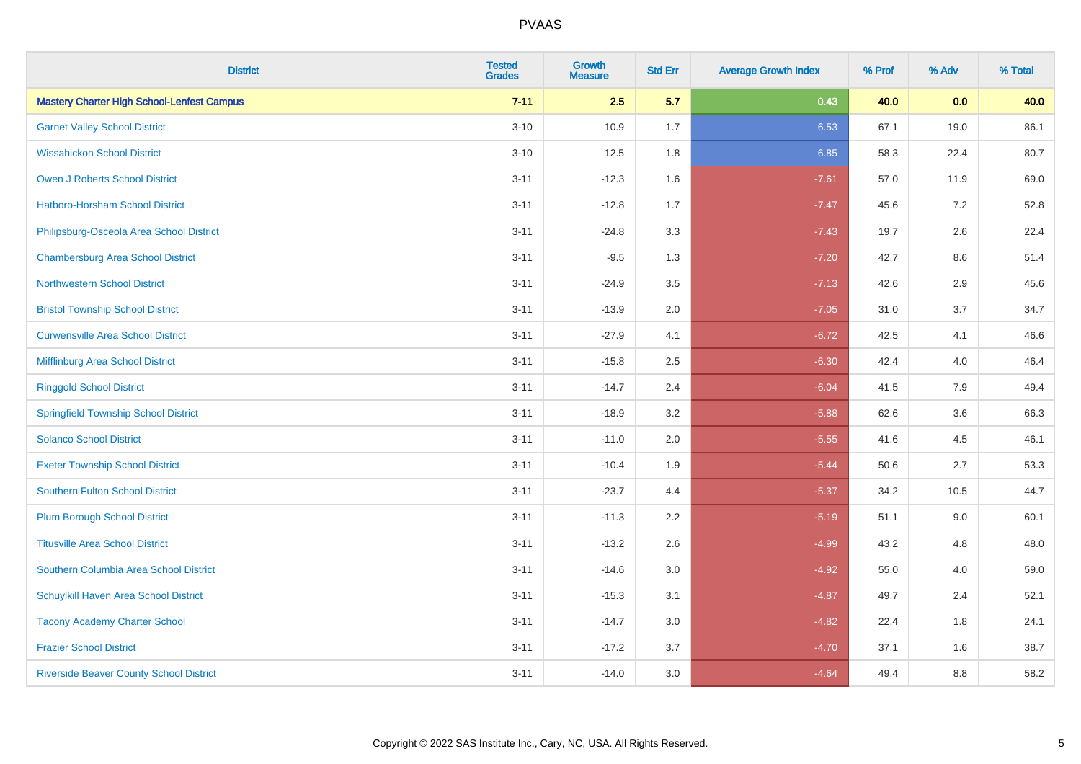| <b>District</b>                                   | <b>Tested</b><br><b>Grades</b> | Growth<br><b>Measure</b> | <b>Std Err</b> | <b>Average Growth Index</b> | % Prof | % Adv   | % Total |
|---------------------------------------------------|--------------------------------|--------------------------|----------------|-----------------------------|--------|---------|---------|
| <b>Mastery Charter High School-Lenfest Campus</b> | $7 - 11$                       | 2.5                      | 5.7            | 0.43                        | 40.0   | 0.0     | 40.0    |
| <b>Garnet Valley School District</b>              | $3 - 10$                       | 10.9                     | 1.7            | 6.53                        | 67.1   | 19.0    | 86.1    |
| <b>Wissahickon School District</b>                | $3 - 10$                       | 12.5                     | 1.8            | 6.85                        | 58.3   | 22.4    | 80.7    |
| <b>Owen J Roberts School District</b>             | $3 - 11$                       | $-12.3$                  | 1.6            | $-7.61$                     | 57.0   | 11.9    | 69.0    |
| Hatboro-Horsham School District                   | $3 - 11$                       | $-12.8$                  | 1.7            | $-7.47$                     | 45.6   | 7.2     | 52.8    |
| Philipsburg-Osceola Area School District          | $3 - 11$                       | $-24.8$                  | 3.3            | $-7.43$                     | 19.7   | $2.6\,$ | 22.4    |
| <b>Chambersburg Area School District</b>          | $3 - 11$                       | $-9.5$                   | 1.3            | $-7.20$                     | 42.7   | 8.6     | 51.4    |
| <b>Northwestern School District</b>               | $3 - 11$                       | $-24.9$                  | 3.5            | $-7.13$                     | 42.6   | 2.9     | 45.6    |
| <b>Bristol Township School District</b>           | $3 - 11$                       | $-13.9$                  | 2.0            | $-7.05$                     | 31.0   | 3.7     | 34.7    |
| <b>Curwensville Area School District</b>          | $3 - 11$                       | $-27.9$                  | 4.1            | $-6.72$                     | 42.5   | 4.1     | 46.6    |
| Mifflinburg Area School District                  | $3 - 11$                       | $-15.8$                  | 2.5            | $-6.30$                     | 42.4   | 4.0     | 46.4    |
| <b>Ringgold School District</b>                   | $3 - 11$                       | $-14.7$                  | 2.4            | $-6.04$                     | 41.5   | 7.9     | 49.4    |
| <b>Springfield Township School District</b>       | $3 - 11$                       | $-18.9$                  | 3.2            | $-5.88$                     | 62.6   | 3.6     | 66.3    |
| <b>Solanco School District</b>                    | $3 - 11$                       | $-11.0$                  | 2.0            | $-5.55$                     | 41.6   | 4.5     | 46.1    |
| <b>Exeter Township School District</b>            | $3 - 11$                       | $-10.4$                  | 1.9            | $-5.44$                     | 50.6   | 2.7     | 53.3    |
| <b>Southern Fulton School District</b>            | $3 - 11$                       | $-23.7$                  | 4.4            | $-5.37$                     | 34.2   | 10.5    | 44.7    |
| <b>Plum Borough School District</b>               | $3 - 11$                       | $-11.3$                  | 2.2            | $-5.19$                     | 51.1   | 9.0     | 60.1    |
| <b>Titusville Area School District</b>            | $3 - 11$                       | $-13.2$                  | 2.6            | $-4.99$                     | 43.2   | 4.8     | 48.0    |
| Southern Columbia Area School District            | $3 - 11$                       | $-14.6$                  | 3.0            | $-4.92$                     | 55.0   | 4.0     | 59.0    |
| Schuylkill Haven Area School District             | $3 - 11$                       | $-15.3$                  | 3.1            | $-4.87$                     | 49.7   | 2.4     | 52.1    |
| <b>Tacony Academy Charter School</b>              | $3 - 11$                       | $-14.7$                  | 3.0            | $-4.82$                     | 22.4   | $1.8$   | 24.1    |
| <b>Frazier School District</b>                    | $3 - 11$                       | $-17.2$                  | 3.7            | $-4.70$                     | 37.1   | 1.6     | 38.7    |
| <b>Riverside Beaver County School District</b>    | $3 - 11$                       | $-14.0$                  | 3.0            | $-4.64$                     | 49.4   | 8.8     | 58.2    |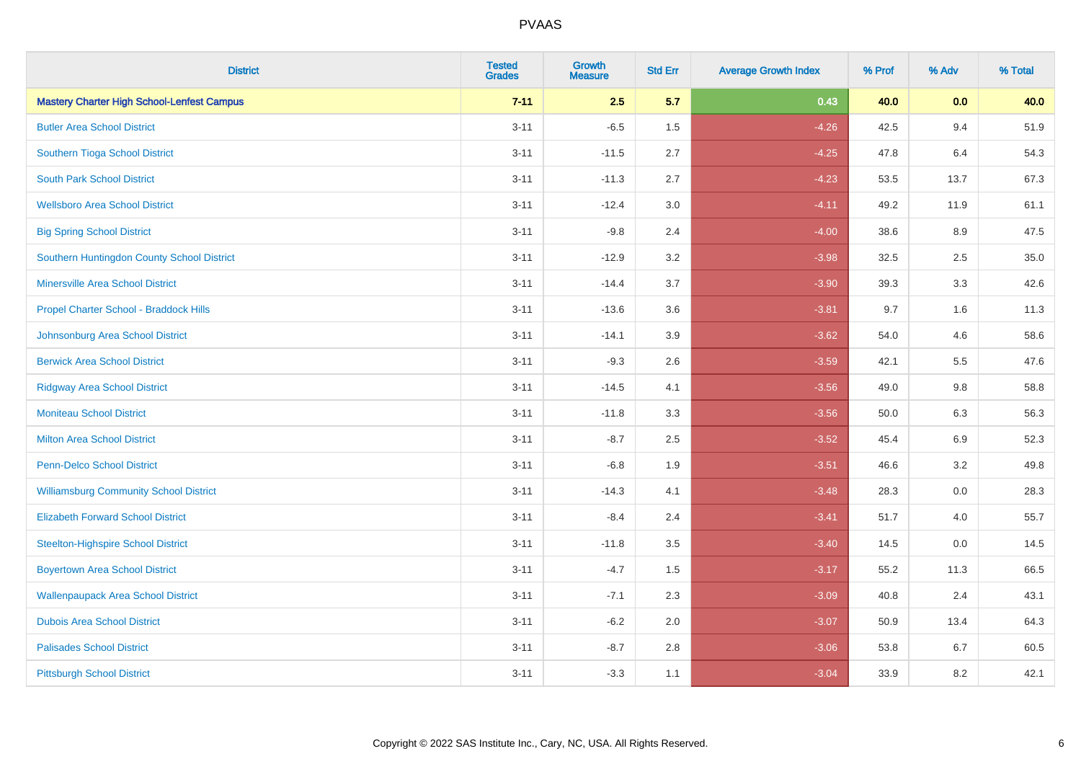| <b>District</b>                                   | <b>Tested</b><br><b>Grades</b> | <b>Growth</b><br><b>Measure</b> | <b>Std Err</b> | <b>Average Growth Index</b> | % Prof | % Adv   | % Total |
|---------------------------------------------------|--------------------------------|---------------------------------|----------------|-----------------------------|--------|---------|---------|
| <b>Mastery Charter High School-Lenfest Campus</b> | $7 - 11$                       | 2.5                             | 5.7            | 0.43                        | 40.0   | 0.0     | 40.0    |
| <b>Butler Area School District</b>                | $3 - 11$                       | $-6.5$                          | 1.5            | $-4.26$                     | 42.5   | 9.4     | 51.9    |
| Southern Tioga School District                    | $3 - 11$                       | $-11.5$                         | 2.7            | $-4.25$                     | 47.8   | 6.4     | 54.3    |
| <b>South Park School District</b>                 | $3 - 11$                       | $-11.3$                         | 2.7            | $-4.23$                     | 53.5   | 13.7    | 67.3    |
| <b>Wellsboro Area School District</b>             | $3 - 11$                       | $-12.4$                         | 3.0            | $-4.11$                     | 49.2   | 11.9    | 61.1    |
| <b>Big Spring School District</b>                 | $3 - 11$                       | $-9.8$                          | 2.4            | $-4.00$                     | 38.6   | 8.9     | 47.5    |
| Southern Huntingdon County School District        | $3 - 11$                       | $-12.9$                         | 3.2            | $-3.98$                     | 32.5   | 2.5     | 35.0    |
| <b>Minersville Area School District</b>           | $3 - 11$                       | $-14.4$                         | 3.7            | $-3.90$                     | 39.3   | 3.3     | 42.6    |
| Propel Charter School - Braddock Hills            | $3 - 11$                       | $-13.6$                         | 3.6            | $-3.81$                     | 9.7    | 1.6     | 11.3    |
| Johnsonburg Area School District                  | $3 - 11$                       | $-14.1$                         | 3.9            | $-3.62$                     | 54.0   | 4.6     | 58.6    |
| <b>Berwick Area School District</b>               | $3 - 11$                       | $-9.3$                          | 2.6            | $-3.59$                     | 42.1   | 5.5     | 47.6    |
| <b>Ridgway Area School District</b>               | $3 - 11$                       | $-14.5$                         | 4.1            | $-3.56$                     | 49.0   | $9.8\,$ | 58.8    |
| <b>Moniteau School District</b>                   | $3 - 11$                       | $-11.8$                         | 3.3            | $-3.56$                     | 50.0   | 6.3     | 56.3    |
| <b>Milton Area School District</b>                | $3 - 11$                       | $-8.7$                          | 2.5            | $-3.52$                     | 45.4   | 6.9     | 52.3    |
| <b>Penn-Delco School District</b>                 | $3 - 11$                       | $-6.8$                          | 1.9            | $-3.51$                     | 46.6   | 3.2     | 49.8    |
| <b>Williamsburg Community School District</b>     | $3 - 11$                       | $-14.3$                         | 4.1            | $-3.48$                     | 28.3   | $0.0\,$ | 28.3    |
| <b>Elizabeth Forward School District</b>          | $3 - 11$                       | $-8.4$                          | 2.4            | $-3.41$                     | 51.7   | 4.0     | 55.7    |
| <b>Steelton-Highspire School District</b>         | $3 - 11$                       | $-11.8$                         | 3.5            | $-3.40$                     | 14.5   | 0.0     | 14.5    |
| <b>Boyertown Area School District</b>             | $3 - 11$                       | $-4.7$                          | 1.5            | $-3.17$                     | 55.2   | 11.3    | 66.5    |
| <b>Wallenpaupack Area School District</b>         | $3 - 11$                       | $-7.1$                          | 2.3            | $-3.09$                     | 40.8   | 2.4     | 43.1    |
| <b>Dubois Area School District</b>                | $3 - 11$                       | $-6.2$                          | 2.0            | $-3.07$                     | 50.9   | 13.4    | 64.3    |
| <b>Palisades School District</b>                  | $3 - 11$                       | $-8.7$                          | $2.8\,$        | $-3.06$                     | 53.8   | 6.7     | 60.5    |
| <b>Pittsburgh School District</b>                 | $3 - 11$                       | $-3.3$                          | 1.1            | $-3.04$                     | 33.9   | 8.2     | 42.1    |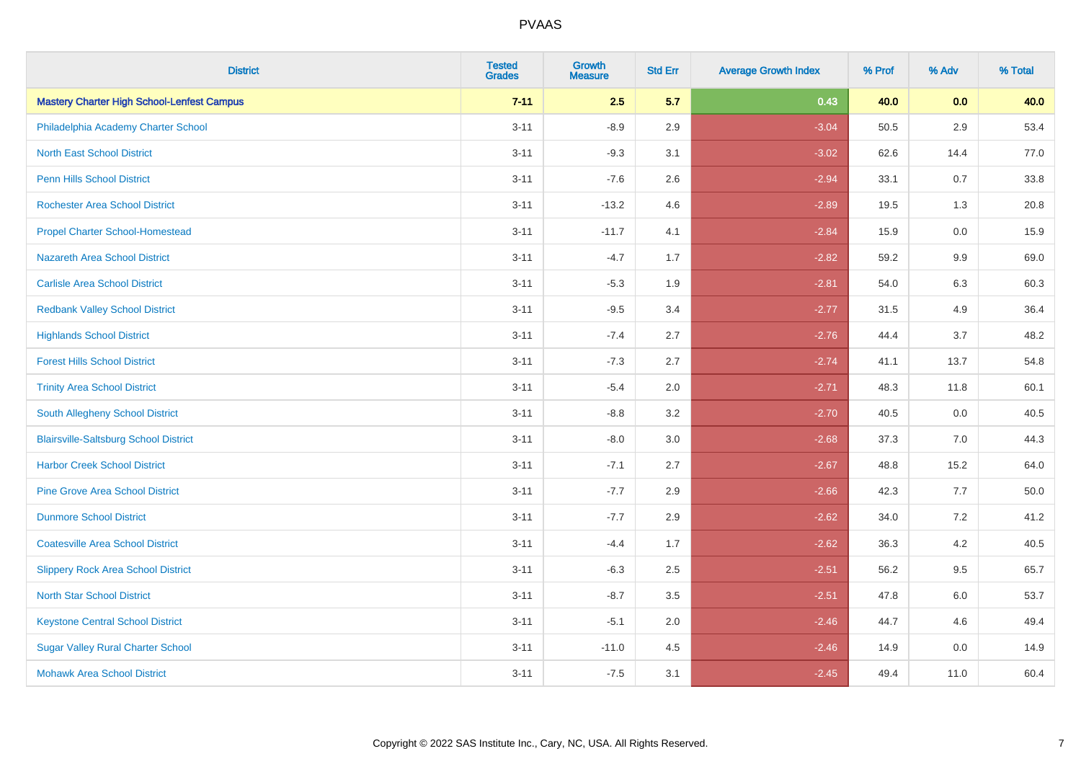| <b>District</b>                                   | <b>Tested</b><br><b>Grades</b> | Growth<br><b>Measure</b> | <b>Std Err</b> | <b>Average Growth Index</b> | % Prof | % Adv   | % Total  |
|---------------------------------------------------|--------------------------------|--------------------------|----------------|-----------------------------|--------|---------|----------|
| <b>Mastery Charter High School-Lenfest Campus</b> | $7 - 11$                       | 2.5                      | 5.7            | 0.43                        | 40.0   | 0.0     | 40.0     |
| Philadelphia Academy Charter School               | $3 - 11$                       | $-8.9$                   | 2.9            | $-3.04$                     | 50.5   | 2.9     | 53.4     |
| <b>North East School District</b>                 | $3 - 11$                       | $-9.3$                   | 3.1            | $-3.02$                     | 62.6   | 14.4    | 77.0     |
| <b>Penn Hills School District</b>                 | $3 - 11$                       | $-7.6$                   | 2.6            | $-2.94$                     | 33.1   | 0.7     | 33.8     |
| <b>Rochester Area School District</b>             | $3 - 11$                       | $-13.2$                  | 4.6            | $-2.89$                     | 19.5   | 1.3     | 20.8     |
| <b>Propel Charter School-Homestead</b>            | $3 - 11$                       | $-11.7$                  | 4.1            | $-2.84$                     | 15.9   | $0.0\,$ | 15.9     |
| Nazareth Area School District                     | $3 - 11$                       | $-4.7$                   | 1.7            | $-2.82$                     | 59.2   | 9.9     | 69.0     |
| <b>Carlisle Area School District</b>              | $3 - 11$                       | $-5.3$                   | 1.9            | $-2.81$                     | 54.0   | 6.3     | 60.3     |
| <b>Redbank Valley School District</b>             | $3 - 11$                       | $-9.5$                   | 3.4            | $-2.77$                     | 31.5   | 4.9     | 36.4     |
| <b>Highlands School District</b>                  | $3 - 11$                       | $-7.4$                   | 2.7            | $-2.76$                     | 44.4   | 3.7     | 48.2     |
| <b>Forest Hills School District</b>               | $3 - 11$                       | $-7.3$                   | 2.7            | $-2.74$                     | 41.1   | 13.7    | 54.8     |
| <b>Trinity Area School District</b>               | $3 - 11$                       | $-5.4$                   | 2.0            | $-2.71$                     | 48.3   | 11.8    | 60.1     |
| South Allegheny School District                   | $3 - 11$                       | $-8.8$                   | 3.2            | $-2.70$                     | 40.5   | 0.0     | 40.5     |
| <b>Blairsville-Saltsburg School District</b>      | $3 - 11$                       | $-8.0$                   | 3.0            | $-2.68$                     | 37.3   | 7.0     | 44.3     |
| <b>Harbor Creek School District</b>               | $3 - 11$                       | $-7.1$                   | 2.7            | $-2.67$                     | 48.8   | 15.2    | 64.0     |
| <b>Pine Grove Area School District</b>            | $3 - 11$                       | $-7.7$                   | 2.9            | $-2.66$                     | 42.3   | 7.7     | $50.0\,$ |
| <b>Dunmore School District</b>                    | $3 - 11$                       | $-7.7$                   | 2.9            | $-2.62$                     | 34.0   | 7.2     | 41.2     |
| <b>Coatesville Area School District</b>           | $3 - 11$                       | $-4.4$                   | 1.7            | $-2.62$                     | 36.3   | 4.2     | 40.5     |
| <b>Slippery Rock Area School District</b>         | $3 - 11$                       | $-6.3$                   | 2.5            | $-2.51$                     | 56.2   | 9.5     | 65.7     |
| <b>North Star School District</b>                 | $3 - 11$                       | $-8.7$                   | 3.5            | $-2.51$                     | 47.8   | 6.0     | 53.7     |
| <b>Keystone Central School District</b>           | $3 - 11$                       | $-5.1$                   | 2.0            | $-2.46$                     | 44.7   | 4.6     | 49.4     |
| <b>Sugar Valley Rural Charter School</b>          | $3 - 11$                       | $-11.0$                  | 4.5            | $-2.46$                     | 14.9   | 0.0     | 14.9     |
| <b>Mohawk Area School District</b>                | $3 - 11$                       | $-7.5$                   | 3.1            | $-2.45$                     | 49.4   | 11.0    | 60.4     |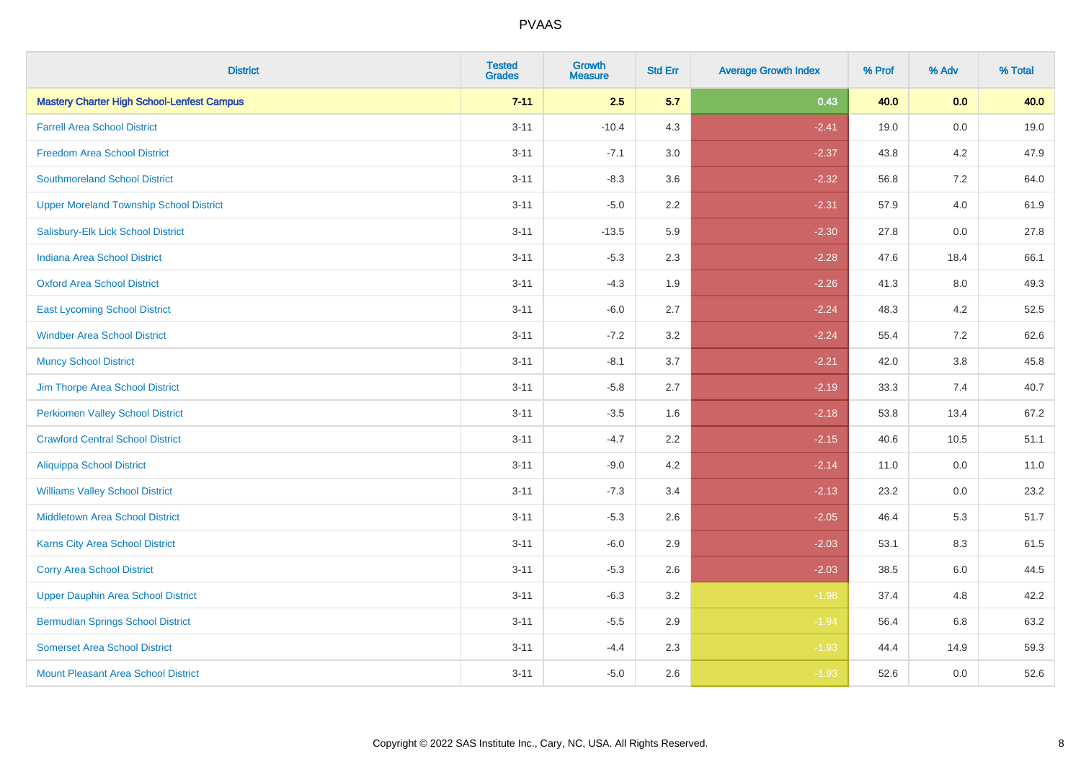| <b>District</b>                                   | <b>Tested</b><br><b>Grades</b> | <b>Growth</b><br><b>Measure</b> | <b>Std Err</b> | <b>Average Growth Index</b> | % Prof | % Adv   | % Total |
|---------------------------------------------------|--------------------------------|---------------------------------|----------------|-----------------------------|--------|---------|---------|
| <b>Mastery Charter High School-Lenfest Campus</b> | $7 - 11$                       | 2.5                             | 5.7            | 0.43                        | 40.0   | 0.0     | 40.0    |
| <b>Farrell Area School District</b>               | $3 - 11$                       | $-10.4$                         | 4.3            | $-2.41$                     | 19.0   | $0.0\,$ | 19.0    |
| <b>Freedom Area School District</b>               | $3 - 11$                       | $-7.1$                          | 3.0            | $-2.37$                     | 43.8   | 4.2     | 47.9    |
| <b>Southmoreland School District</b>              | $3 - 11$                       | $-8.3$                          | 3.6            | $-2.32$                     | 56.8   | 7.2     | 64.0    |
| <b>Upper Moreland Township School District</b>    | $3 - 11$                       | $-5.0$                          | 2.2            | $-2.31$                     | 57.9   | 4.0     | 61.9    |
| Salisbury-Elk Lick School District                | $3 - 11$                       | $-13.5$                         | 5.9            | $-2.30$                     | 27.8   | 0.0     | 27.8    |
| <b>Indiana Area School District</b>               | $3 - 11$                       | $-5.3$                          | 2.3            | $-2.28$                     | 47.6   | 18.4    | 66.1    |
| <b>Oxford Area School District</b>                | $3 - 11$                       | $-4.3$                          | 1.9            | $-2.26$                     | 41.3   | 8.0     | 49.3    |
| <b>East Lycoming School District</b>              | $3 - 11$                       | $-6.0$                          | 2.7            | $-2.24$                     | 48.3   | 4.2     | 52.5    |
| <b>Windber Area School District</b>               | $3 - 11$                       | $-7.2$                          | 3.2            | $-2.24$                     | 55.4   | 7.2     | 62.6    |
| <b>Muncy School District</b>                      | $3 - 11$                       | $-8.1$                          | 3.7            | $-2.21$                     | 42.0   | 3.8     | 45.8    |
| Jim Thorpe Area School District                   | $3 - 11$                       | $-5.8$                          | 2.7            | $-2.19$                     | 33.3   | 7.4     | 40.7    |
| <b>Perkiomen Valley School District</b>           | $3 - 11$                       | $-3.5$                          | 1.6            | $-2.18$                     | 53.8   | 13.4    | 67.2    |
| <b>Crawford Central School District</b>           | $3 - 11$                       | $-4.7$                          | 2.2            | $-2.15$                     | 40.6   | 10.5    | 51.1    |
| <b>Aliquippa School District</b>                  | $3 - 11$                       | $-9.0$                          | 4.2            | $-2.14$                     | 11.0   | 0.0     | 11.0    |
| <b>Williams Valley School District</b>            | $3 - 11$                       | $-7.3$                          | 3.4            | $-2.13$                     | 23.2   | 0.0     | 23.2    |
| <b>Middletown Area School District</b>            | $3 - 11$                       | $-5.3$                          | 2.6            | $-2.05$                     | 46.4   | 5.3     | 51.7    |
| Karns City Area School District                   | $3 - 11$                       | $-6.0$                          | 2.9            | $-2.03$                     | 53.1   | 8.3     | 61.5    |
| <b>Corry Area School District</b>                 | $3 - 11$                       | $-5.3$                          | 2.6            | $-2.03$                     | 38.5   | 6.0     | 44.5    |
| <b>Upper Dauphin Area School District</b>         | $3 - 11$                       | $-6.3$                          | 3.2            | $-1.98$                     | 37.4   | 4.8     | 42.2    |
| <b>Bermudian Springs School District</b>          | $3 - 11$                       | $-5.5$                          | 2.9            | $-1.94$                     | 56.4   | 6.8     | 63.2    |
| <b>Somerset Area School District</b>              | $3 - 11$                       | $-4.4$                          | 2.3            | $-1.93$                     | 44.4   | 14.9    | 59.3    |
| <b>Mount Pleasant Area School District</b>        | $3 - 11$                       | $-5.0$                          | 2.6            | $-1.93$                     | 52.6   | 0.0     | 52.6    |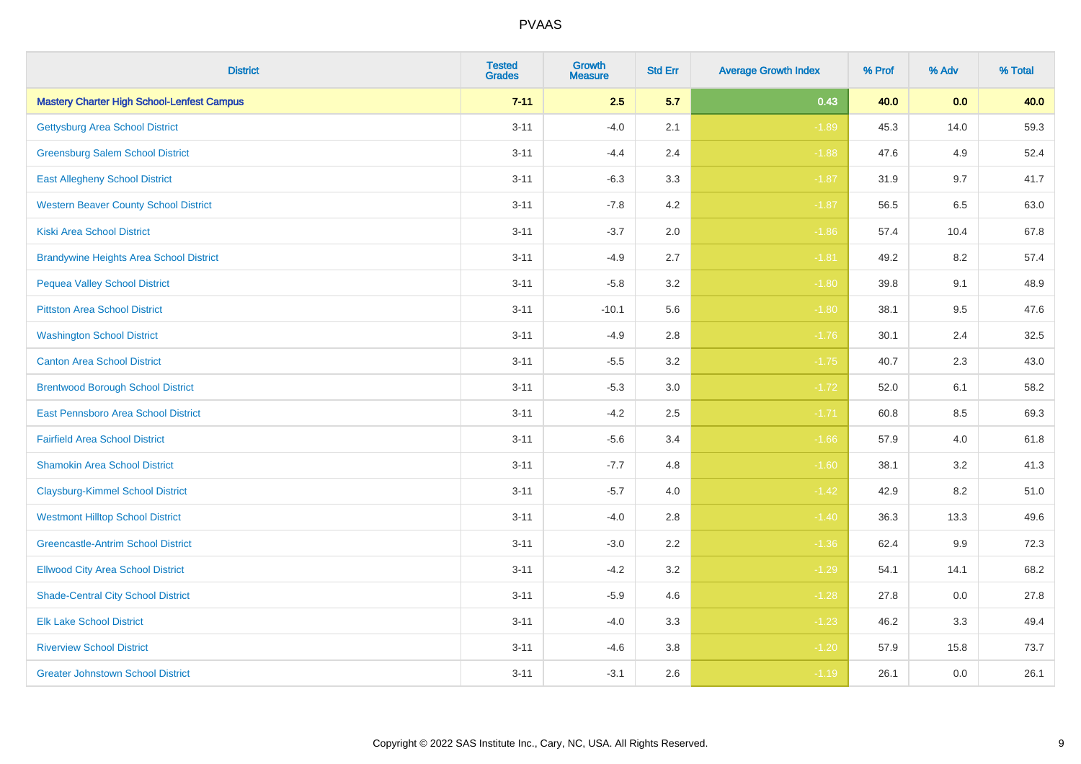| <b>District</b>                                   | <b>Tested</b><br><b>Grades</b> | <b>Growth</b><br><b>Measure</b> | <b>Std Err</b> | <b>Average Growth Index</b> | % Prof | % Adv   | % Total |
|---------------------------------------------------|--------------------------------|---------------------------------|----------------|-----------------------------|--------|---------|---------|
| <b>Mastery Charter High School-Lenfest Campus</b> | $7 - 11$                       | 2.5                             | 5.7            | 0.43                        | 40.0   | 0.0     | 40.0    |
| <b>Gettysburg Area School District</b>            | $3 - 11$                       | $-4.0$                          | 2.1            | $-1.89$                     | 45.3   | 14.0    | 59.3    |
| <b>Greensburg Salem School District</b>           | $3 - 11$                       | $-4.4$                          | 2.4            | $-1.88$                     | 47.6   | 4.9     | 52.4    |
| <b>East Allegheny School District</b>             | $3 - 11$                       | $-6.3$                          | 3.3            | $-1.87$                     | 31.9   | 9.7     | 41.7    |
| <b>Western Beaver County School District</b>      | $3 - 11$                       | $-7.8$                          | 4.2            | $-1.87$                     | 56.5   | 6.5     | 63.0    |
| <b>Kiski Area School District</b>                 | $3 - 11$                       | $-3.7$                          | 2.0            | $-1.86$                     | 57.4   | 10.4    | 67.8    |
| <b>Brandywine Heights Area School District</b>    | $3 - 11$                       | $-4.9$                          | 2.7            | $-1.81$                     | 49.2   | 8.2     | 57.4    |
| <b>Pequea Valley School District</b>              | $3 - 11$                       | $-5.8$                          | 3.2            | $-1.80$                     | 39.8   | 9.1     | 48.9    |
| <b>Pittston Area School District</b>              | $3 - 11$                       | $-10.1$                         | 5.6            | $-1.80$                     | 38.1   | 9.5     | 47.6    |
| <b>Washington School District</b>                 | $3 - 11$                       | $-4.9$                          | 2.8            | $-1.76$                     | 30.1   | 2.4     | 32.5    |
| <b>Canton Area School District</b>                | $3 - 11$                       | $-5.5$                          | 3.2            | $-1.75$                     | 40.7   | 2.3     | 43.0    |
| <b>Brentwood Borough School District</b>          | $3 - 11$                       | $-5.3$                          | 3.0            | $-1.72$                     | 52.0   | 6.1     | 58.2    |
| East Pennsboro Area School District               | $3 - 11$                       | $-4.2$                          | 2.5            | $-1.71$                     | 60.8   | 8.5     | 69.3    |
| <b>Fairfield Area School District</b>             | $3 - 11$                       | $-5.6$                          | 3.4            | $-1.66$                     | 57.9   | 4.0     | 61.8    |
| <b>Shamokin Area School District</b>              | $3 - 11$                       | $-7.7$                          | 4.8            | $-1.60$                     | 38.1   | 3.2     | 41.3    |
| <b>Claysburg-Kimmel School District</b>           | $3 - 11$                       | $-5.7$                          | 4.0            | $-1.42$                     | 42.9   | 8.2     | 51.0    |
| <b>Westmont Hilltop School District</b>           | $3 - 11$                       | $-4.0$                          | 2.8            | $-1.40$                     | 36.3   | 13.3    | 49.6    |
| <b>Greencastle-Antrim School District</b>         | $3 - 11$                       | $-3.0$                          | 2.2            | $-1.36$                     | 62.4   | $9.9\,$ | 72.3    |
| <b>Ellwood City Area School District</b>          | $3 - 11$                       | $-4.2$                          | 3.2            | $-1.29$                     | 54.1   | 14.1    | 68.2    |
| <b>Shade-Central City School District</b>         | $3 - 11$                       | $-5.9$                          | 4.6            | $-1.28$                     | 27.8   | 0.0     | 27.8    |
| <b>Elk Lake School District</b>                   | $3 - 11$                       | $-4.0$                          | 3.3            | $-1.23$                     | 46.2   | 3.3     | 49.4    |
| <b>Riverview School District</b>                  | $3 - 11$                       | $-4.6$                          | 3.8            | $-1.20$                     | 57.9   | 15.8    | 73.7    |
| <b>Greater Johnstown School District</b>          | $3 - 11$                       | $-3.1$                          | 2.6            | $-1.19$                     | 26.1   | 0.0     | 26.1    |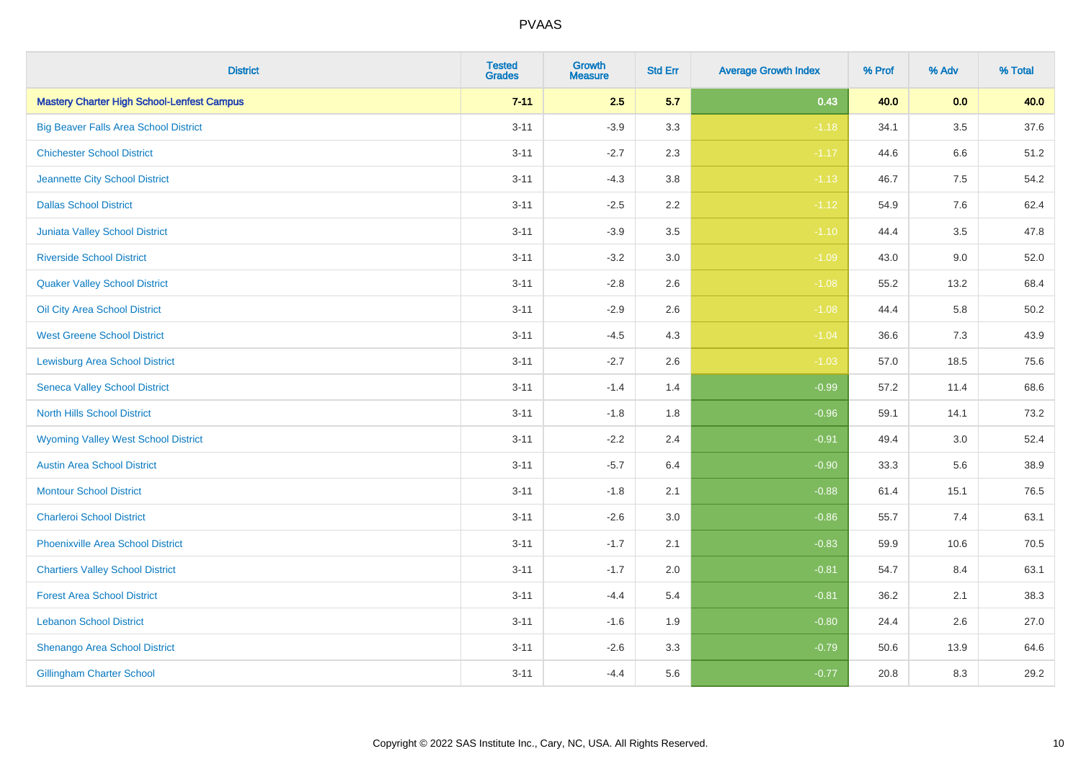| <b>District</b>                                   | <b>Tested</b><br><b>Grades</b> | <b>Growth</b><br><b>Measure</b> | <b>Std Err</b> | <b>Average Growth Index</b> | % Prof | % Adv   | % Total  |
|---------------------------------------------------|--------------------------------|---------------------------------|----------------|-----------------------------|--------|---------|----------|
| <b>Mastery Charter High School-Lenfest Campus</b> | $7 - 11$                       | 2.5                             | 5.7            | 0.43                        | 40.0   | 0.0     | 40.0     |
| <b>Big Beaver Falls Area School District</b>      | $3 - 11$                       | $-3.9$                          | 3.3            | $-1.18$                     | 34.1   | $3.5\,$ | 37.6     |
| <b>Chichester School District</b>                 | $3 - 11$                       | $-2.7$                          | 2.3            | $-1.17$                     | 44.6   | 6.6     | 51.2     |
| Jeannette City School District                    | $3 - 11$                       | $-4.3$                          | $3.8\,$        | $-1.13$                     | 46.7   | 7.5     | 54.2     |
| <b>Dallas School District</b>                     | $3 - 11$                       | $-2.5$                          | 2.2            | $-1.12$                     | 54.9   | 7.6     | 62.4     |
| Juniata Valley School District                    | $3 - 11$                       | $-3.9$                          | 3.5            | $-1.10$                     | 44.4   | 3.5     | 47.8     |
| <b>Riverside School District</b>                  | $3 - 11$                       | $-3.2$                          | 3.0            | $-1.09$                     | 43.0   | 9.0     | 52.0     |
| <b>Quaker Valley School District</b>              | $3 - 11$                       | $-2.8$                          | 2.6            | $-1.08$                     | 55.2   | 13.2    | 68.4     |
| Oil City Area School District                     | $3 - 11$                       | $-2.9$                          | 2.6            | $-1.08$                     | 44.4   | 5.8     | $50.2\,$ |
| <b>West Greene School District</b>                | $3 - 11$                       | $-4.5$                          | 4.3            | $-1.04$                     | 36.6   | 7.3     | 43.9     |
| <b>Lewisburg Area School District</b>             | $3 - 11$                       | $-2.7$                          | 2.6            | $-1.03$                     | 57.0   | 18.5    | 75.6     |
| <b>Seneca Valley School District</b>              | $3 - 11$                       | $-1.4$                          | 1.4            | $-0.99$                     | 57.2   | 11.4    | 68.6     |
| <b>North Hills School District</b>                | $3 - 11$                       | $-1.8$                          | 1.8            | $-0.96$                     | 59.1   | 14.1    | 73.2     |
| <b>Wyoming Valley West School District</b>        | $3 - 11$                       | $-2.2$                          | 2.4            | $-0.91$                     | 49.4   | 3.0     | 52.4     |
| <b>Austin Area School District</b>                | $3 - 11$                       | $-5.7$                          | 6.4            | $-0.90$                     | 33.3   | 5.6     | 38.9     |
| <b>Montour School District</b>                    | $3 - 11$                       | $-1.8$                          | 2.1            | $-0.88$                     | 61.4   | 15.1    | 76.5     |
| <b>Charleroi School District</b>                  | $3 - 11$                       | $-2.6$                          | 3.0            | $-0.86$                     | 55.7   | 7.4     | 63.1     |
| <b>Phoenixville Area School District</b>          | $3 - 11$                       | $-1.7$                          | 2.1            | $-0.83$                     | 59.9   | 10.6    | 70.5     |
| <b>Chartiers Valley School District</b>           | $3 - 11$                       | $-1.7$                          | 2.0            | $-0.81$                     | 54.7   | 8.4     | 63.1     |
| <b>Forest Area School District</b>                | $3 - 11$                       | $-4.4$                          | 5.4            | $-0.81$                     | 36.2   | 2.1     | 38.3     |
| <b>Lebanon School District</b>                    | $3 - 11$                       | $-1.6$                          | 1.9            | $-0.80$                     | 24.4   | 2.6     | 27.0     |
| Shenango Area School District                     | $3 - 11$                       | $-2.6$                          | 3.3            | $-0.79$                     | 50.6   | 13.9    | 64.6     |
| <b>Gillingham Charter School</b>                  | $3 - 11$                       | $-4.4$                          | 5.6            | $-0.77$                     | 20.8   | 8.3     | 29.2     |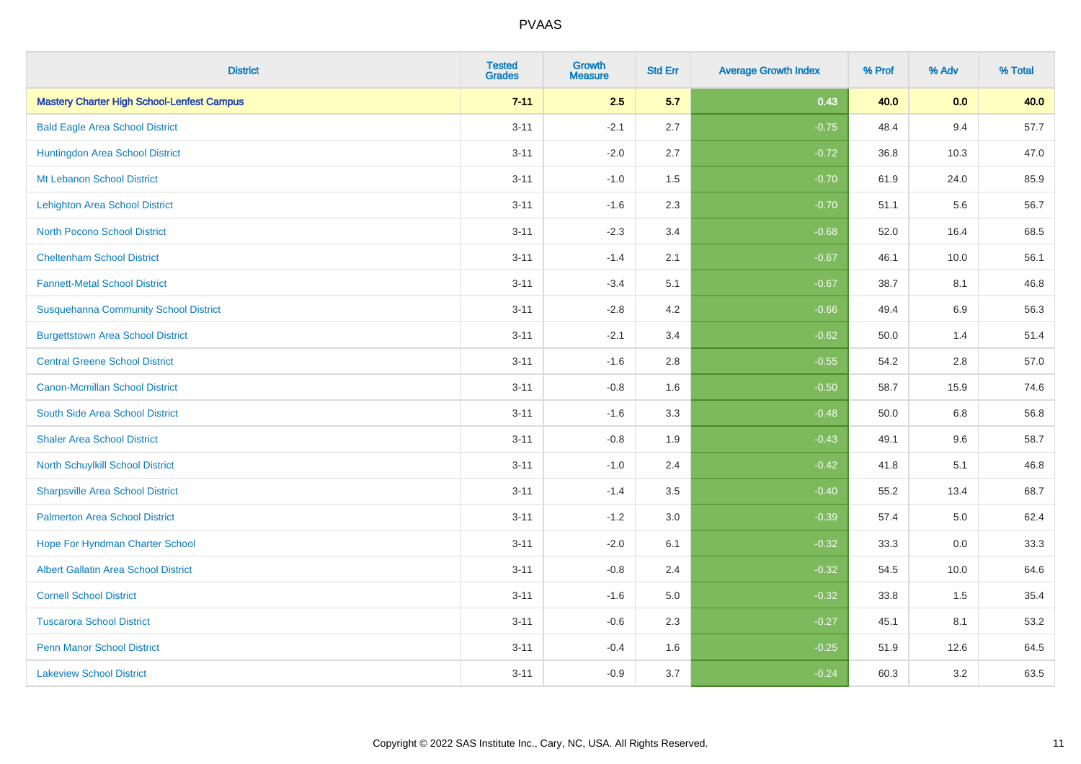| <b>District</b>                                   | <b>Tested</b><br><b>Grades</b> | <b>Growth</b><br><b>Measure</b> | <b>Std Err</b> | <b>Average Growth Index</b> | % Prof | % Adv   | % Total |
|---------------------------------------------------|--------------------------------|---------------------------------|----------------|-----------------------------|--------|---------|---------|
| <b>Mastery Charter High School-Lenfest Campus</b> | $7 - 11$                       | 2.5                             | 5.7            | 0.43                        | 40.0   | 0.0     | 40.0    |
| <b>Bald Eagle Area School District</b>            | $3 - 11$                       | $-2.1$                          | 2.7            | $-0.75$                     | 48.4   | 9.4     | 57.7    |
| Huntingdon Area School District                   | $3 - 11$                       | $-2.0$                          | 2.7            | $-0.72$                     | 36.8   | 10.3    | 47.0    |
| Mt Lebanon School District                        | $3 - 11$                       | $-1.0$                          | 1.5            | $-0.70$                     | 61.9   | 24.0    | 85.9    |
| <b>Lehighton Area School District</b>             | $3 - 11$                       | $-1.6$                          | 2.3            | $-0.70$                     | 51.1   | 5.6     | 56.7    |
| <b>North Pocono School District</b>               | $3 - 11$                       | $-2.3$                          | 3.4            | $-0.68$                     | 52.0   | 16.4    | 68.5    |
| <b>Cheltenham School District</b>                 | $3 - 11$                       | $-1.4$                          | 2.1            | $-0.67$                     | 46.1   | 10.0    | 56.1    |
| <b>Fannett-Metal School District</b>              | $3 - 11$                       | $-3.4$                          | 5.1            | $-0.67$                     | 38.7   | 8.1     | 46.8    |
| <b>Susquehanna Community School District</b>      | $3 - 11$                       | $-2.8$                          | 4.2            | $-0.66$                     | 49.4   | 6.9     | 56.3    |
| <b>Burgettstown Area School District</b>          | $3 - 11$                       | $-2.1$                          | 3.4            | $-0.62$                     | 50.0   | 1.4     | 51.4    |
| <b>Central Greene School District</b>             | $3 - 11$                       | $-1.6$                          | 2.8            | $-0.55$                     | 54.2   | 2.8     | 57.0    |
| <b>Canon-Mcmillan School District</b>             | $3 - 11$                       | $-0.8$                          | 1.6            | $-0.50$                     | 58.7   | 15.9    | 74.6    |
| South Side Area School District                   | $3 - 11$                       | $-1.6$                          | 3.3            | $-0.48$                     | 50.0   | $6.8\,$ | 56.8    |
| <b>Shaler Area School District</b>                | $3 - 11$                       | $-0.8$                          | 1.9            | $-0.43$                     | 49.1   | 9.6     | 58.7    |
| North Schuylkill School District                  | $3 - 11$                       | $-1.0$                          | 2.4            | $-0.42$                     | 41.8   | 5.1     | 46.8    |
| <b>Sharpsville Area School District</b>           | $3 - 11$                       | $-1.4$                          | 3.5            | $-0.40$                     | 55.2   | 13.4    | 68.7    |
| <b>Palmerton Area School District</b>             | $3 - 11$                       | $-1.2$                          | 3.0            | $-0.39$                     | 57.4   | $5.0\,$ | 62.4    |
| Hope For Hyndman Charter School                   | $3 - 11$                       | $-2.0$                          | 6.1            | $-0.32$                     | 33.3   | 0.0     | 33.3    |
| Albert Gallatin Area School District              | $3 - 11$                       | $-0.8$                          | 2.4            | $-0.32$                     | 54.5   | 10.0    | 64.6    |
| <b>Cornell School District</b>                    | $3 - 11$                       | $-1.6$                          | 5.0            | $-0.32$                     | 33.8   | 1.5     | 35.4    |
| <b>Tuscarora School District</b>                  | $3 - 11$                       | $-0.6$                          | 2.3            | $-0.27$                     | 45.1   | 8.1     | 53.2    |
| <b>Penn Manor School District</b>                 | $3 - 11$                       | $-0.4$                          | 1.6            | $-0.25$                     | 51.9   | 12.6    | 64.5    |
| <b>Lakeview School District</b>                   | $3 - 11$                       | $-0.9$                          | 3.7            | $-0.24$                     | 60.3   | 3.2     | 63.5    |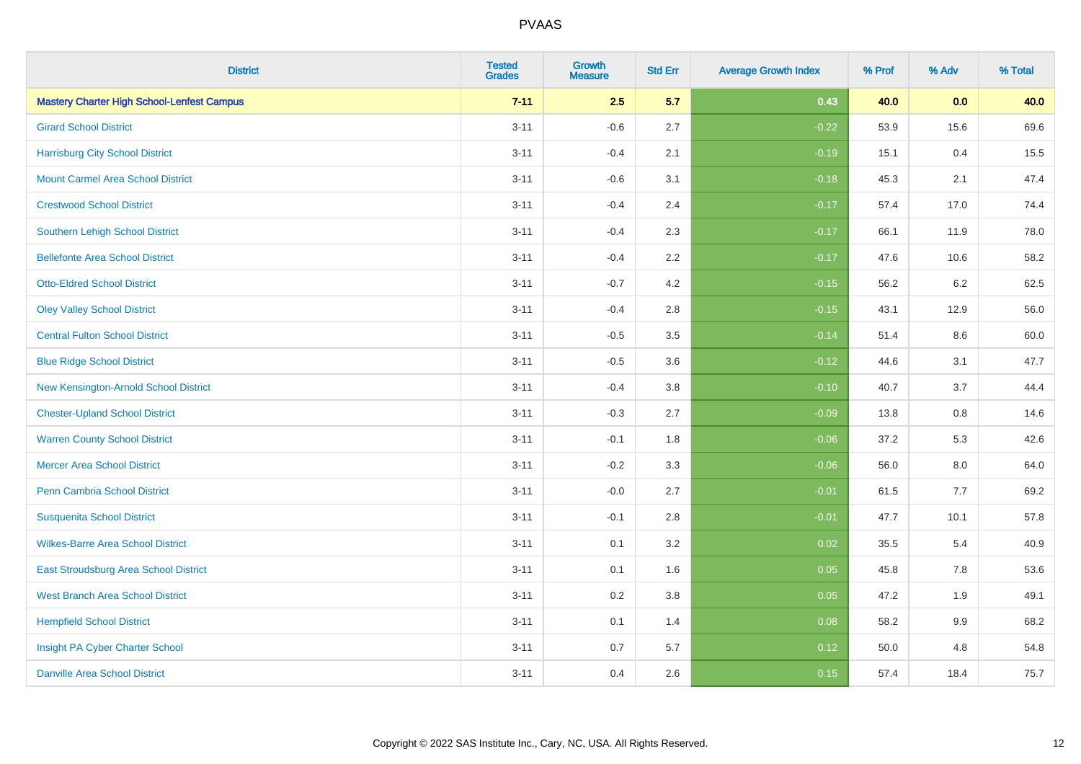| <b>District</b>                                   | <b>Tested</b><br><b>Grades</b> | <b>Growth</b><br><b>Measure</b> | <b>Std Err</b> | <b>Average Growth Index</b> | % Prof | % Adv   | % Total |
|---------------------------------------------------|--------------------------------|---------------------------------|----------------|-----------------------------|--------|---------|---------|
| <b>Mastery Charter High School-Lenfest Campus</b> | $7 - 11$                       | 2.5                             | 5.7            | 0.43                        | 40.0   | 0.0     | 40.0    |
| <b>Girard School District</b>                     | $3 - 11$                       | $-0.6$                          | 2.7            | $-0.22$                     | 53.9   | 15.6    | 69.6    |
| <b>Harrisburg City School District</b>            | $3 - 11$                       | $-0.4$                          | 2.1            | $-0.19$                     | 15.1   | 0.4     | 15.5    |
| <b>Mount Carmel Area School District</b>          | $3 - 11$                       | $-0.6$                          | 3.1            | $-0.18$                     | 45.3   | 2.1     | 47.4    |
| <b>Crestwood School District</b>                  | $3 - 11$                       | $-0.4$                          | 2.4            | $-0.17$                     | 57.4   | 17.0    | 74.4    |
| <b>Southern Lehigh School District</b>            | $3 - 11$                       | $-0.4$                          | 2.3            | $-0.17$                     | 66.1   | 11.9    | 78.0    |
| <b>Bellefonte Area School District</b>            | $3 - 11$                       | $-0.4$                          | 2.2            | $-0.17$                     | 47.6   | 10.6    | 58.2    |
| <b>Otto-Eldred School District</b>                | $3 - 11$                       | $-0.7$                          | 4.2            | $-0.15$                     | 56.2   | 6.2     | 62.5    |
| <b>Oley Valley School District</b>                | $3 - 11$                       | $-0.4$                          | 2.8            | $-0.15$                     | 43.1   | 12.9    | 56.0    |
| <b>Central Fulton School District</b>             | $3 - 11$                       | $-0.5$                          | 3.5            | $-0.14$                     | 51.4   | 8.6     | 60.0    |
| <b>Blue Ridge School District</b>                 | $3 - 11$                       | $-0.5$                          | 3.6            | $-0.12$                     | 44.6   | 3.1     | 47.7    |
| New Kensington-Arnold School District             | $3 - 11$                       | $-0.4$                          | 3.8            | $-0.10$                     | 40.7   | 3.7     | 44.4    |
| <b>Chester-Upland School District</b>             | $3 - 11$                       | $-0.3$                          | 2.7            | $-0.09$                     | 13.8   | $0.8\,$ | 14.6    |
| <b>Warren County School District</b>              | $3 - 11$                       | $-0.1$                          | 1.8            | $-0.06$                     | 37.2   | 5.3     | 42.6    |
| <b>Mercer Area School District</b>                | $3 - 11$                       | $-0.2$                          | 3.3            | $-0.06$                     | 56.0   | $8.0\,$ | 64.0    |
| <b>Penn Cambria School District</b>               | $3 - 11$                       | $-0.0$                          | 2.7            | $-0.01$                     | 61.5   | $7.7$   | 69.2    |
| <b>Susquenita School District</b>                 | $3 - 11$                       | $-0.1$                          | 2.8            | $-0.01$                     | 47.7   | 10.1    | 57.8    |
| <b>Wilkes-Barre Area School District</b>          | $3 - 11$                       | 0.1                             | 3.2            | 0.02                        | 35.5   | 5.4     | 40.9    |
| East Stroudsburg Area School District             | $3 - 11$                       | 0.1                             | 1.6            | 0.05                        | 45.8   | 7.8     | 53.6    |
| <b>West Branch Area School District</b>           | $3 - 11$                       | 0.2                             | 3.8            | 0.05                        | 47.2   | 1.9     | 49.1    |
| <b>Hempfield School District</b>                  | $3 - 11$                       | 0.1                             | 1.4            | 0.08                        | 58.2   | 9.9     | 68.2    |
| Insight PA Cyber Charter School                   | $3 - 11$                       | 0.7                             | 5.7            | 0.12                        | 50.0   | 4.8     | 54.8    |
| <b>Danville Area School District</b>              | $3 - 11$                       | 0.4                             | 2.6            | 0.15                        | 57.4   | 18.4    | 75.7    |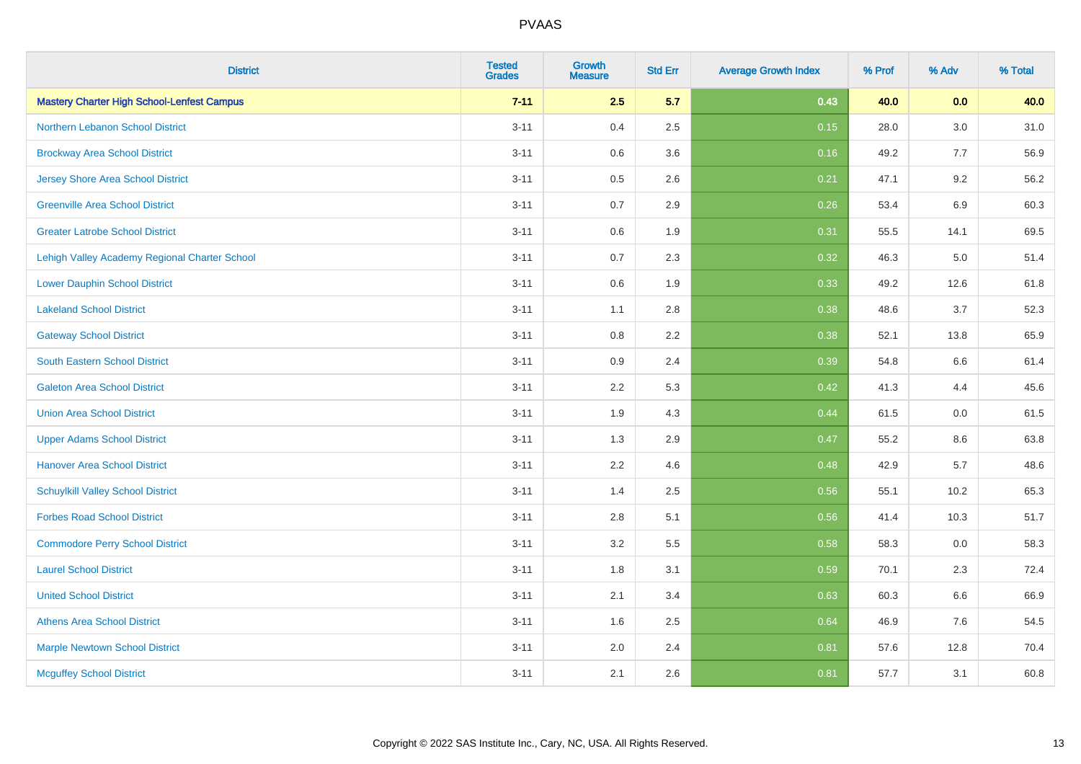| <b>District</b>                                   | <b>Tested</b><br><b>Grades</b> | Growth<br><b>Measure</b> | <b>Std Err</b> | <b>Average Growth Index</b> | % Prof | % Adv   | % Total |
|---------------------------------------------------|--------------------------------|--------------------------|----------------|-----------------------------|--------|---------|---------|
| <b>Mastery Charter High School-Lenfest Campus</b> | $7 - 11$                       | 2.5                      | 5.7            | 0.43                        | 40.0   | 0.0     | 40.0    |
| Northern Lebanon School District                  | $3 - 11$                       | 0.4                      | 2.5            | 0.15                        | 28.0   | 3.0     | 31.0    |
| <b>Brockway Area School District</b>              | $3 - 11$                       | 0.6                      | 3.6            | 0.16                        | 49.2   | 7.7     | 56.9    |
| <b>Jersey Shore Area School District</b>          | $3 - 11$                       | 0.5                      | 2.6            | 0.21                        | 47.1   | 9.2     | 56.2    |
| <b>Greenville Area School District</b>            | $3 - 11$                       | 0.7                      | 2.9            | 0.26                        | 53.4   | 6.9     | 60.3    |
| <b>Greater Latrobe School District</b>            | $3 - 11$                       | 0.6                      | 1.9            | 0.31                        | 55.5   | 14.1    | 69.5    |
| Lehigh Valley Academy Regional Charter School     | $3 - 11$                       | 0.7                      | 2.3            | 0.32                        | 46.3   | $5.0\,$ | 51.4    |
| <b>Lower Dauphin School District</b>              | $3 - 11$                       | 0.6                      | 1.9            | 0.33                        | 49.2   | 12.6    | 61.8    |
| <b>Lakeland School District</b>                   | $3 - 11$                       | 1.1                      | 2.8            | 0.38                        | 48.6   | 3.7     | 52.3    |
| <b>Gateway School District</b>                    | $3 - 11$                       | $0.8\,$                  | 2.2            | 0.38                        | 52.1   | 13.8    | 65.9    |
| <b>South Eastern School District</b>              | $3 - 11$                       | 0.9                      | 2.4            | 0.39                        | 54.8   | 6.6     | 61.4    |
| <b>Galeton Area School District</b>               | $3 - 11$                       | 2.2                      | 5.3            | 0.42                        | 41.3   | 4.4     | 45.6    |
| <b>Union Area School District</b>                 | $3 - 11$                       | 1.9                      | 4.3            | 0.44                        | 61.5   | 0.0     | 61.5    |
| <b>Upper Adams School District</b>                | $3 - 11$                       | 1.3                      | 2.9            | 0.47                        | 55.2   | 8.6     | 63.8    |
| <b>Hanover Area School District</b>               | $3 - 11$                       | 2.2                      | 4.6            | 0.48                        | 42.9   | 5.7     | 48.6    |
| <b>Schuylkill Valley School District</b>          | $3 - 11$                       | 1.4                      | 2.5            | 0.56                        | 55.1   | 10.2    | 65.3    |
| <b>Forbes Road School District</b>                | $3 - 11$                       | 2.8                      | 5.1            | 0.56                        | 41.4   | 10.3    | 51.7    |
| <b>Commodore Perry School District</b>            | $3 - 11$                       | 3.2                      | 5.5            | 0.58                        | 58.3   | 0.0     | 58.3    |
| <b>Laurel School District</b>                     | $3 - 11$                       | 1.8                      | 3.1            | 0.59                        | 70.1   | 2.3     | 72.4    |
| <b>United School District</b>                     | $3 - 11$                       | 2.1                      | 3.4            | 0.63                        | 60.3   | 6.6     | 66.9    |
| <b>Athens Area School District</b>                | $3 - 11$                       | 1.6                      | 2.5            | 0.64                        | 46.9   | 7.6     | 54.5    |
| <b>Marple Newtown School District</b>             | $3 - 11$                       | 2.0                      | 2.4            | 0.81                        | 57.6   | 12.8    | 70.4    |
| <b>Mcguffey School District</b>                   | $3 - 11$                       | 2.1                      | 2.6            | 0.81                        | 57.7   | 3.1     | 60.8    |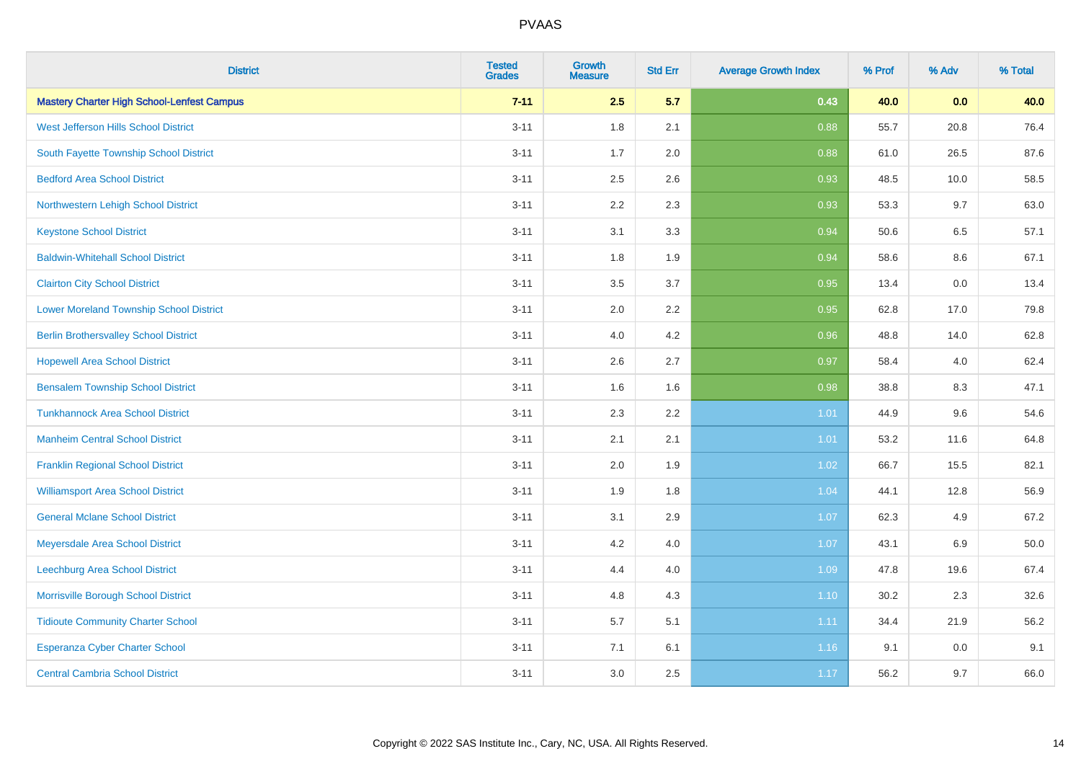| <b>District</b>                                   | <b>Tested</b><br><b>Grades</b> | <b>Growth</b><br><b>Measure</b> | <b>Std Err</b> | <b>Average Growth Index</b> | % Prof | % Adv | % Total |
|---------------------------------------------------|--------------------------------|---------------------------------|----------------|-----------------------------|--------|-------|---------|
| <b>Mastery Charter High School-Lenfest Campus</b> | $7 - 11$                       | 2.5                             | 5.7            | 0.43                        | 40.0   | 0.0   | 40.0    |
| West Jefferson Hills School District              | $3 - 11$                       | 1.8                             | 2.1            | 0.88                        | 55.7   | 20.8  | 76.4    |
| South Fayette Township School District            | $3 - 11$                       | 1.7                             | 2.0            | 0.88                        | 61.0   | 26.5  | 87.6    |
| <b>Bedford Area School District</b>               | $3 - 11$                       | 2.5                             | 2.6            | 0.93                        | 48.5   | 10.0  | 58.5    |
| Northwestern Lehigh School District               | $3 - 11$                       | 2.2                             | 2.3            | 0.93                        | 53.3   | 9.7   | 63.0    |
| <b>Keystone School District</b>                   | $3 - 11$                       | 3.1                             | 3.3            | 0.94                        | 50.6   | 6.5   | 57.1    |
| <b>Baldwin-Whitehall School District</b>          | $3 - 11$                       | 1.8                             | 1.9            | 0.94                        | 58.6   | 8.6   | 67.1    |
| <b>Clairton City School District</b>              | $3 - 11$                       | 3.5                             | 3.7            | 0.95                        | 13.4   | 0.0   | 13.4    |
| <b>Lower Moreland Township School District</b>    | $3 - 11$                       | 2.0                             | 2.2            | 0.95                        | 62.8   | 17.0  | 79.8    |
| <b>Berlin Brothersvalley School District</b>      | $3 - 11$                       | 4.0                             | 4.2            | 0.96                        | 48.8   | 14.0  | 62.8    |
| <b>Hopewell Area School District</b>              | $3 - 11$                       | 2.6                             | 2.7            | 0.97                        | 58.4   | 4.0   | 62.4    |
| <b>Bensalem Township School District</b>          | $3 - 11$                       | 1.6                             | 1.6            | 0.98                        | 38.8   | 8.3   | 47.1    |
| <b>Tunkhannock Area School District</b>           | $3 - 11$                       | 2.3                             | 2.2            | 1.01                        | 44.9   | 9.6   | 54.6    |
| <b>Manheim Central School District</b>            | $3 - 11$                       | 2.1                             | 2.1            | 1.01                        | 53.2   | 11.6  | 64.8    |
| <b>Franklin Regional School District</b>          | $3 - 11$                       | 2.0                             | 1.9            | 1.02                        | 66.7   | 15.5  | 82.1    |
| <b>Williamsport Area School District</b>          | $3 - 11$                       | 1.9                             | 1.8            | 1.04                        | 44.1   | 12.8  | 56.9    |
| <b>General Mclane School District</b>             | $3 - 11$                       | 3.1                             | 2.9            | 1.07                        | 62.3   | 4.9   | 67.2    |
| Meyersdale Area School District                   | $3 - 11$                       | 4.2                             | 4.0            | 1.07                        | 43.1   | 6.9   | 50.0    |
| Leechburg Area School District                    | $3 - 11$                       | 4.4                             | 4.0            | 1.09                        | 47.8   | 19.6  | 67.4    |
| Morrisville Borough School District               | $3 - 11$                       | 4.8                             | 4.3            | $1.10$                      | 30.2   | 2.3   | 32.6    |
| <b>Tidioute Community Charter School</b>          | $3 - 11$                       | 5.7                             | 5.1            | 1.11                        | 34.4   | 21.9  | 56.2    |
| <b>Esperanza Cyber Charter School</b>             | $3 - 11$                       | 7.1                             | 6.1            | 1.16                        | 9.1    | 0.0   | 9.1     |
| <b>Central Cambria School District</b>            | $3 - 11$                       | 3.0                             | 2.5            | 1.17                        | 56.2   | 9.7   | 66.0    |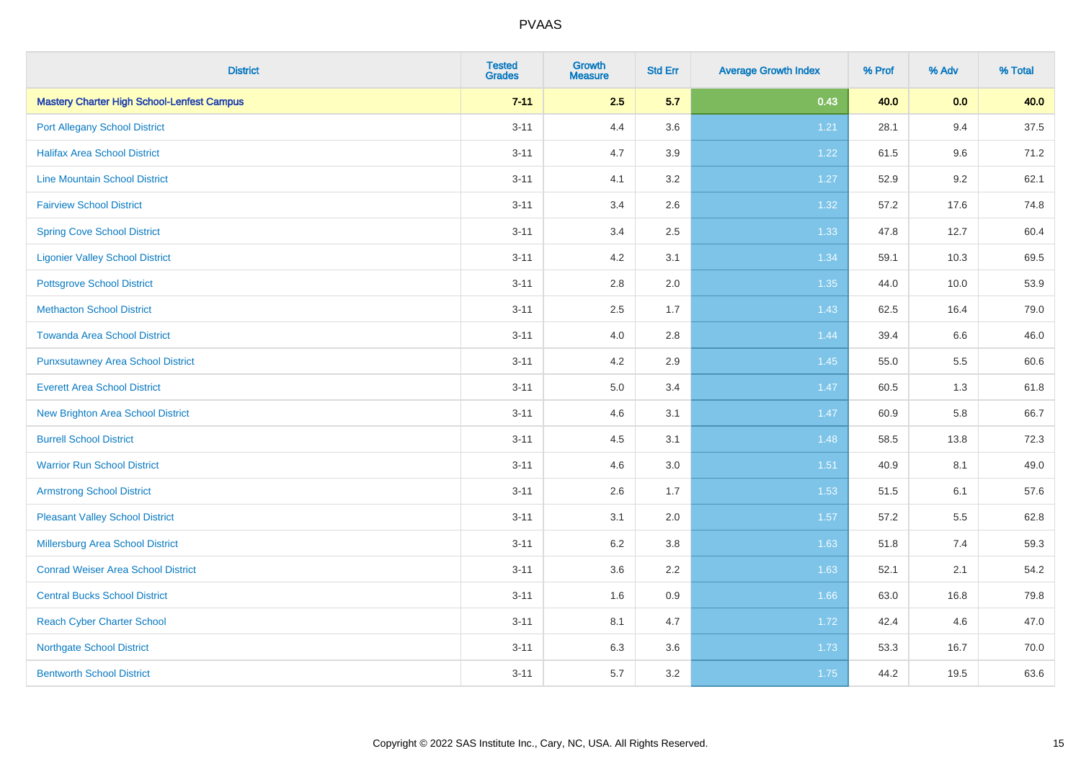| <b>District</b>                                   | <b>Tested</b><br><b>Grades</b> | Growth<br><b>Measure</b> | <b>Std Err</b> | <b>Average Growth Index</b> | % Prof | % Adv | % Total |
|---------------------------------------------------|--------------------------------|--------------------------|----------------|-----------------------------|--------|-------|---------|
| <b>Mastery Charter High School-Lenfest Campus</b> | $7 - 11$                       | 2.5                      | 5.7            | 0.43                        | 40.0   | 0.0   | 40.0    |
| <b>Port Allegany School District</b>              | $3 - 11$                       | 4.4                      | 3.6            | 1.21                        | 28.1   | 9.4   | 37.5    |
| <b>Halifax Area School District</b>               | $3 - 11$                       | 4.7                      | 3.9            | 1.22                        | 61.5   | 9.6   | 71.2    |
| <b>Line Mountain School District</b>              | $3 - 11$                       | 4.1                      | 3.2            | 1.27                        | 52.9   | 9.2   | 62.1    |
| <b>Fairview School District</b>                   | $3 - 11$                       | 3.4                      | 2.6            | 1.32                        | 57.2   | 17.6  | 74.8    |
| <b>Spring Cove School District</b>                | $3 - 11$                       | 3.4                      | 2.5            | 1.33                        | 47.8   | 12.7  | 60.4    |
| <b>Ligonier Valley School District</b>            | $3 - 11$                       | 4.2                      | 3.1            | 1.34                        | 59.1   | 10.3  | 69.5    |
| <b>Pottsgrove School District</b>                 | $3 - 11$                       | 2.8                      | 2.0            | 1.35                        | 44.0   | 10.0  | 53.9    |
| <b>Methacton School District</b>                  | $3 - 11$                       | 2.5                      | 1.7            | 1.43                        | 62.5   | 16.4  | 79.0    |
| <b>Towanda Area School District</b>               | $3 - 11$                       | 4.0                      | 2.8            | 1.44                        | 39.4   | 6.6   | 46.0    |
| <b>Punxsutawney Area School District</b>          | $3 - 11$                       | 4.2                      | 2.9            | 1.45                        | 55.0   | 5.5   | 60.6    |
| <b>Everett Area School District</b>               | $3 - 11$                       | 5.0                      | 3.4            | 1.47                        | 60.5   | 1.3   | 61.8    |
| <b>New Brighton Area School District</b>          | $3 - 11$                       | 4.6                      | 3.1            | 1.47                        | 60.9   | 5.8   | 66.7    |
| <b>Burrell School District</b>                    | $3 - 11$                       | 4.5                      | 3.1            | 1.48                        | 58.5   | 13.8  | 72.3    |
| <b>Warrior Run School District</b>                | $3 - 11$                       | 4.6                      | $3.0\,$        | 1.51                        | 40.9   | 8.1   | 49.0    |
| <b>Armstrong School District</b>                  | $3 - 11$                       | 2.6                      | 1.7            | 1.53                        | 51.5   | 6.1   | 57.6    |
| <b>Pleasant Valley School District</b>            | $3 - 11$                       | 3.1                      | 2.0            | 1.57                        | 57.2   | 5.5   | 62.8    |
| Millersburg Area School District                  | $3 - 11$                       | 6.2                      | 3.8            | 1.63                        | 51.8   | 7.4   | 59.3    |
| <b>Conrad Weiser Area School District</b>         | $3 - 11$                       | 3.6                      | 2.2            | 1.63                        | 52.1   | 2.1   | 54.2    |
| <b>Central Bucks School District</b>              | $3 - 11$                       | 1.6                      | 0.9            | 1.66                        | 63.0   | 16.8  | 79.8    |
| <b>Reach Cyber Charter School</b>                 | $3 - 11$                       | 8.1                      | 4.7            | 1.72                        | 42.4   | 4.6   | 47.0    |
| <b>Northgate School District</b>                  | $3 - 11$                       | 6.3                      | 3.6            | 1.73                        | 53.3   | 16.7  | 70.0    |
| <b>Bentworth School District</b>                  | $3 - 11$                       | 5.7                      | 3.2            | 1.75                        | 44.2   | 19.5  | 63.6    |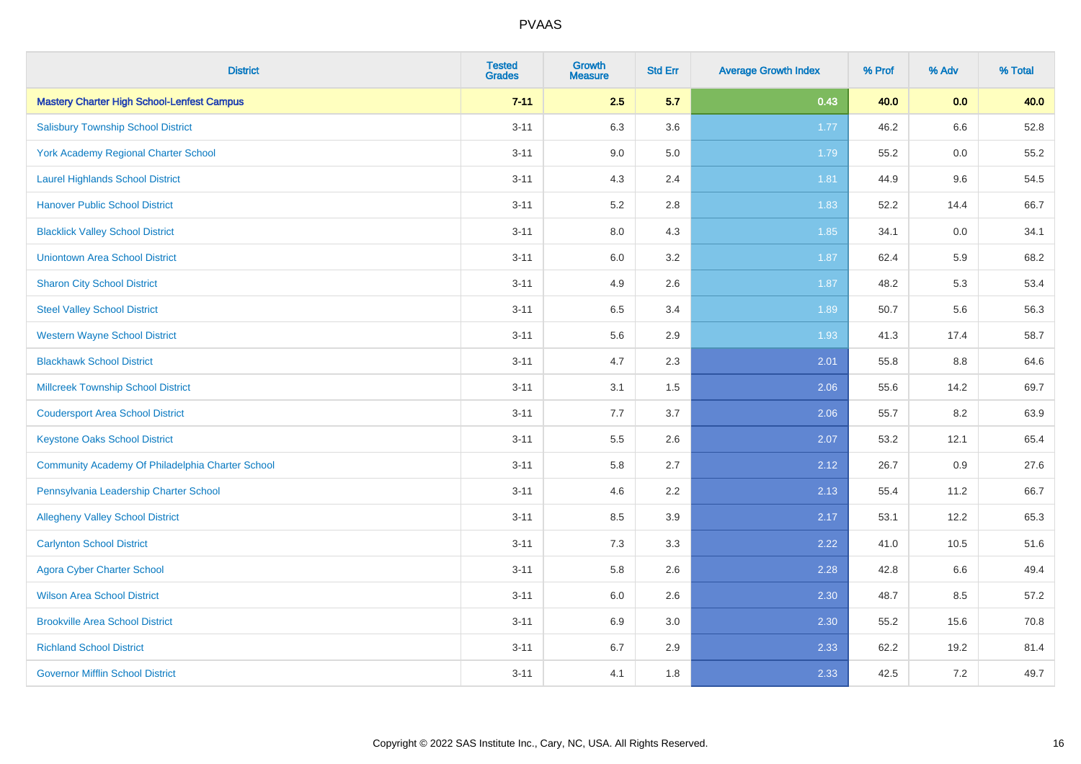| <b>District</b>                                   | <b>Tested</b><br><b>Grades</b> | <b>Growth</b><br><b>Measure</b> | <b>Std Err</b> | <b>Average Growth Index</b> | % Prof | % Adv   | % Total |
|---------------------------------------------------|--------------------------------|---------------------------------|----------------|-----------------------------|--------|---------|---------|
| <b>Mastery Charter High School-Lenfest Campus</b> | $7 - 11$                       | 2.5                             | 5.7            | 0.43                        | 40.0   | 0.0     | 40.0    |
| <b>Salisbury Township School District</b>         | $3 - 11$                       | 6.3                             | 3.6            | $1.77$                      | 46.2   | 6.6     | 52.8    |
| <b>York Academy Regional Charter School</b>       | $3 - 11$                       | 9.0                             | 5.0            | 1.79                        | 55.2   | 0.0     | 55.2    |
| <b>Laurel Highlands School District</b>           | $3 - 11$                       | 4.3                             | 2.4            | 1.81                        | 44.9   | 9.6     | 54.5    |
| <b>Hanover Public School District</b>             | $3 - 11$                       | 5.2                             | 2.8            | 1.83                        | 52.2   | 14.4    | 66.7    |
| <b>Blacklick Valley School District</b>           | $3 - 11$                       | 8.0                             | 4.3            | 1.85                        | 34.1   | $0.0\,$ | 34.1    |
| <b>Uniontown Area School District</b>             | $3 - 11$                       | $6.0\,$                         | 3.2            | 1.87                        | 62.4   | 5.9     | 68.2    |
| <b>Sharon City School District</b>                | $3 - 11$                       | 4.9                             | 2.6            | 1.87                        | 48.2   | 5.3     | 53.4    |
| <b>Steel Valley School District</b>               | $3 - 11$                       | 6.5                             | 3.4            | 1.89                        | 50.7   | 5.6     | 56.3    |
| <b>Western Wayne School District</b>              | $3 - 11$                       | 5.6                             | 2.9            | 1.93                        | 41.3   | 17.4    | 58.7    |
| <b>Blackhawk School District</b>                  | $3 - 11$                       | 4.7                             | 2.3            | 2.01                        | 55.8   | 8.8     | 64.6    |
| <b>Millcreek Township School District</b>         | $3 - 11$                       | 3.1                             | 1.5            | 2.06                        | 55.6   | 14.2    | 69.7    |
| <b>Coudersport Area School District</b>           | $3 - 11$                       | 7.7                             | 3.7            | 2.06                        | 55.7   | 8.2     | 63.9    |
| <b>Keystone Oaks School District</b>              | $3 - 11$                       | $5.5\,$                         | 2.6            | 2.07                        | 53.2   | 12.1    | 65.4    |
| Community Academy Of Philadelphia Charter School  | $3 - 11$                       | 5.8                             | 2.7            | 2.12                        | 26.7   | 0.9     | 27.6    |
| Pennsylvania Leadership Charter School            | $3 - 11$                       | 4.6                             | 2.2            | 2.13                        | 55.4   | 11.2    | 66.7    |
| <b>Allegheny Valley School District</b>           | $3 - 11$                       | 8.5                             | 3.9            | 2.17                        | 53.1   | 12.2    | 65.3    |
| <b>Carlynton School District</b>                  | $3 - 11$                       | 7.3                             | 3.3            | 2.22                        | 41.0   | 10.5    | 51.6    |
| <b>Agora Cyber Charter School</b>                 | $3 - 11$                       | 5.8                             | 2.6            | 2.28                        | 42.8   | 6.6     | 49.4    |
| <b>Wilson Area School District</b>                | $3 - 11$                       | 6.0                             | 2.6            | 2.30                        | 48.7   | 8.5     | 57.2    |
| <b>Brookville Area School District</b>            | $3 - 11$                       | 6.9                             | 3.0            | 2.30                        | 55.2   | 15.6    | 70.8    |
| <b>Richland School District</b>                   | $3 - 11$                       | 6.7                             | 2.9            | 2.33                        | 62.2   | 19.2    | 81.4    |
| <b>Governor Mifflin School District</b>           | $3 - 11$                       | 4.1                             | 1.8            | 2.33                        | 42.5   | 7.2     | 49.7    |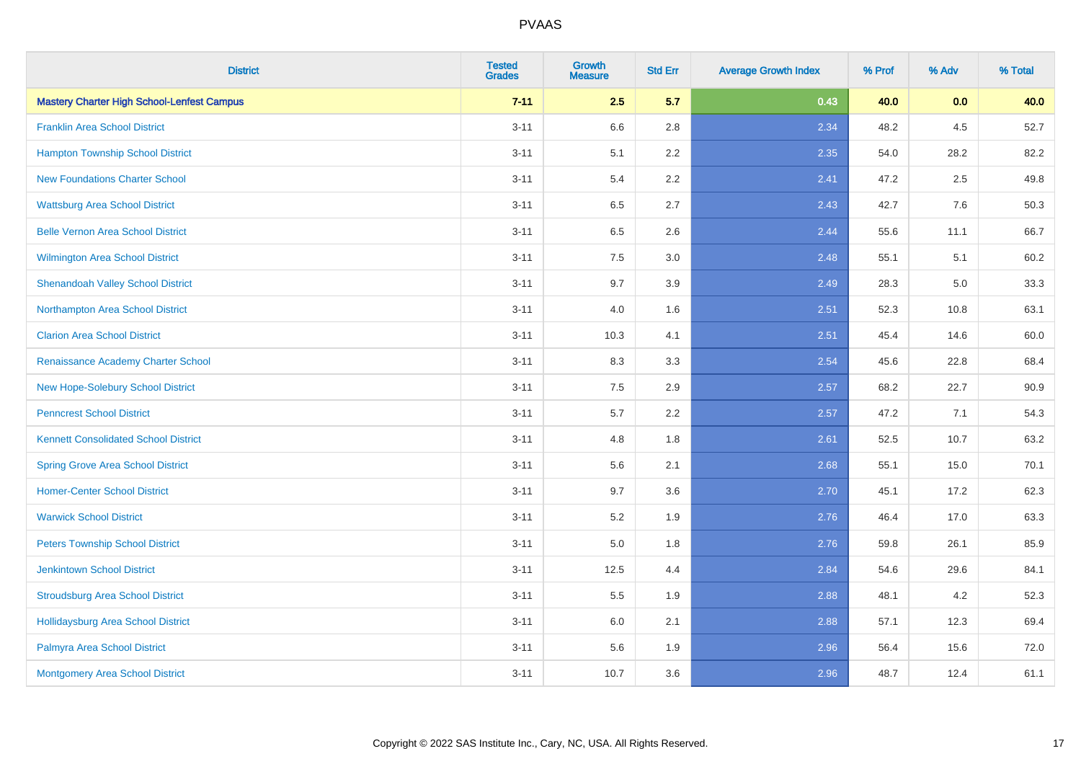| <b>District</b>                                   | <b>Tested</b><br><b>Grades</b> | <b>Growth</b><br><b>Measure</b> | <b>Std Err</b> | <b>Average Growth Index</b> | % Prof | % Adv   | % Total |
|---------------------------------------------------|--------------------------------|---------------------------------|----------------|-----------------------------|--------|---------|---------|
| <b>Mastery Charter High School-Lenfest Campus</b> | $7 - 11$                       | 2.5                             | 5.7            | 0.43                        | 40.0   | 0.0     | 40.0    |
| <b>Franklin Area School District</b>              | $3 - 11$                       | 6.6                             | 2.8            | 2.34                        | 48.2   | $4.5\,$ | 52.7    |
| <b>Hampton Township School District</b>           | $3 - 11$                       | 5.1                             | 2.2            | 2.35                        | 54.0   | 28.2    | 82.2    |
| <b>New Foundations Charter School</b>             | $3 - 11$                       | 5.4                             | 2.2            | 2.41                        | 47.2   | 2.5     | 49.8    |
| <b>Wattsburg Area School District</b>             | $3 - 11$                       | 6.5                             | 2.7            | 2.43                        | 42.7   | 7.6     | 50.3    |
| <b>Belle Vernon Area School District</b>          | $3 - 11$                       | 6.5                             | 2.6            | 2.44                        | 55.6   | 11.1    | 66.7    |
| Wilmington Area School District                   | $3 - 11$                       | 7.5                             | 3.0            | 2.48                        | 55.1   | 5.1     | 60.2    |
| <b>Shenandoah Valley School District</b>          | $3 - 11$                       | 9.7                             | 3.9            | 2.49                        | 28.3   | 5.0     | 33.3    |
| Northampton Area School District                  | $3 - 11$                       | 4.0                             | 1.6            | 2.51                        | 52.3   | 10.8    | 63.1    |
| <b>Clarion Area School District</b>               | $3 - 11$                       | 10.3                            | 4.1            | 2.51                        | 45.4   | 14.6    | 60.0    |
| Renaissance Academy Charter School                | $3 - 11$                       | 8.3                             | 3.3            | 2.54                        | 45.6   | 22.8    | 68.4    |
| New Hope-Solebury School District                 | $3 - 11$                       | 7.5                             | 2.9            | 2.57                        | 68.2   | 22.7    | 90.9    |
| <b>Penncrest School District</b>                  | $3 - 11$                       | 5.7                             | 2.2            | 2.57                        | 47.2   | 7.1     | 54.3    |
| <b>Kennett Consolidated School District</b>       | $3 - 11$                       | 4.8                             | 1.8            | 2.61                        | 52.5   | 10.7    | 63.2    |
| <b>Spring Grove Area School District</b>          | $3 - 11$                       | 5.6                             | 2.1            | 2.68                        | 55.1   | 15.0    | 70.1    |
| <b>Homer-Center School District</b>               | $3 - 11$                       | 9.7                             | 3.6            | 2.70                        | 45.1   | 17.2    | 62.3    |
| <b>Warwick School District</b>                    | $3 - 11$                       | 5.2                             | 1.9            | 2.76                        | 46.4   | 17.0    | 63.3    |
| <b>Peters Township School District</b>            | $3 - 11$                       | 5.0                             | 1.8            | 2.76                        | 59.8   | 26.1    | 85.9    |
| <b>Jenkintown School District</b>                 | $3 - 11$                       | 12.5                            | 4.4            | 2.84                        | 54.6   | 29.6    | 84.1    |
| <b>Stroudsburg Area School District</b>           | $3 - 11$                       | 5.5                             | 1.9            | 2.88                        | 48.1   | 4.2     | 52.3    |
| <b>Hollidaysburg Area School District</b>         | $3 - 11$                       | 6.0                             | 2.1            | 2.88                        | 57.1   | 12.3    | 69.4    |
| Palmyra Area School District                      | $3 - 11$                       | 5.6                             | 1.9            | 2.96                        | 56.4   | 15.6    | 72.0    |
| Montgomery Area School District                   | $3 - 11$                       | 10.7                            | 3.6            | 2.96                        | 48.7   | 12.4    | 61.1    |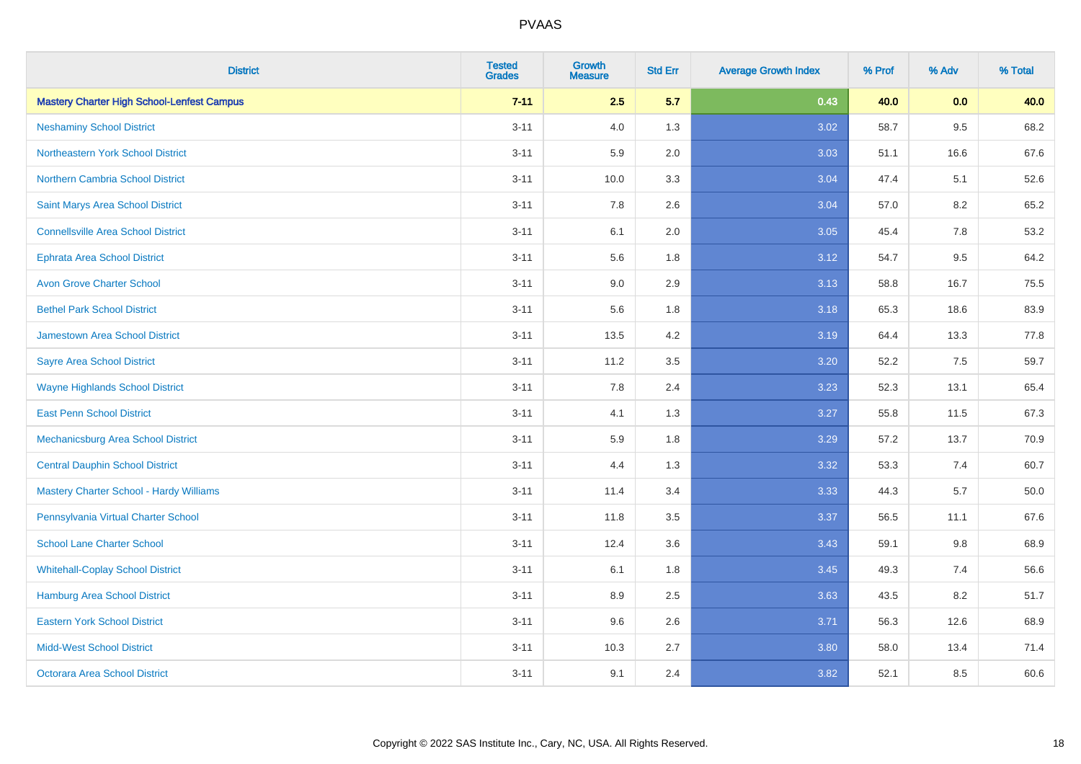| <b>District</b>                                   | <b>Tested</b><br><b>Grades</b> | Growth<br><b>Measure</b> | <b>Std Err</b> | <b>Average Growth Index</b> | % Prof | % Adv   | % Total  |
|---------------------------------------------------|--------------------------------|--------------------------|----------------|-----------------------------|--------|---------|----------|
| <b>Mastery Charter High School-Lenfest Campus</b> | $7 - 11$                       | 2.5                      | 5.7            | 0.43                        | 40.0   | 0.0     | 40.0     |
| <b>Neshaminy School District</b>                  | $3 - 11$                       | 4.0                      | 1.3            | 3.02                        | 58.7   | 9.5     | 68.2     |
| Northeastern York School District                 | $3 - 11$                       | 5.9                      | 2.0            | 3.03                        | 51.1   | 16.6    | 67.6     |
| <b>Northern Cambria School District</b>           | $3 - 11$                       | 10.0                     | 3.3            | 3.04                        | 47.4   | 5.1     | 52.6     |
| Saint Marys Area School District                  | $3 - 11$                       | 7.8                      | 2.6            | 3.04                        | 57.0   | 8.2     | 65.2     |
| <b>Connellsville Area School District</b>         | $3 - 11$                       | 6.1                      | 2.0            | 3.05                        | 45.4   | $7.8\,$ | 53.2     |
| <b>Ephrata Area School District</b>               | $3 - 11$                       | 5.6                      | 1.8            | 3.12                        | 54.7   | 9.5     | 64.2     |
| <b>Avon Grove Charter School</b>                  | $3 - 11$                       | 9.0                      | 2.9            | 3.13                        | 58.8   | 16.7    | 75.5     |
| <b>Bethel Park School District</b>                | $3 - 11$                       | 5.6                      | 1.8            | 3.18                        | 65.3   | 18.6    | 83.9     |
| <b>Jamestown Area School District</b>             | $3 - 11$                       | 13.5                     | 4.2            | 3.19                        | 64.4   | 13.3    | 77.8     |
| <b>Sayre Area School District</b>                 | $3 - 11$                       | 11.2                     | 3.5            | 3.20                        | 52.2   | 7.5     | 59.7     |
| <b>Wayne Highlands School District</b>            | $3 - 11$                       | 7.8                      | 2.4            | 3.23                        | 52.3   | 13.1    | 65.4     |
| <b>East Penn School District</b>                  | $3 - 11$                       | 4.1                      | 1.3            | 3.27                        | 55.8   | 11.5    | 67.3     |
| Mechanicsburg Area School District                | $3 - 11$                       | 5.9                      | 1.8            | 3.29                        | 57.2   | 13.7    | 70.9     |
| <b>Central Dauphin School District</b>            | $3 - 11$                       | 4.4                      | 1.3            | 3.32                        | 53.3   | 7.4     | 60.7     |
| <b>Mastery Charter School - Hardy Williams</b>    | $3 - 11$                       | 11.4                     | 3.4            | 3.33                        | 44.3   | 5.7     | $50.0\,$ |
| Pennsylvania Virtual Charter School               | $3 - 11$                       | 11.8                     | 3.5            | 3.37                        | 56.5   | 11.1    | 67.6     |
| <b>School Lane Charter School</b>                 | $3 - 11$                       | 12.4                     | 3.6            | 3.43                        | 59.1   | 9.8     | 68.9     |
| <b>Whitehall-Coplay School District</b>           | $3 - 11$                       | 6.1                      | 1.8            | 3.45                        | 49.3   | 7.4     | 56.6     |
| Hamburg Area School District                      | $3 - 11$                       | 8.9                      | 2.5            | 3.63                        | 43.5   | 8.2     | 51.7     |
| <b>Eastern York School District</b>               | $3 - 11$                       | 9.6                      | 2.6            | 3.71                        | 56.3   | 12.6    | 68.9     |
| <b>Midd-West School District</b>                  | $3 - 11$                       | 10.3                     | 2.7            | 3.80                        | 58.0   | 13.4    | 71.4     |
| <b>Octorara Area School District</b>              | $3 - 11$                       | 9.1                      | 2.4            | 3.82                        | 52.1   | 8.5     | 60.6     |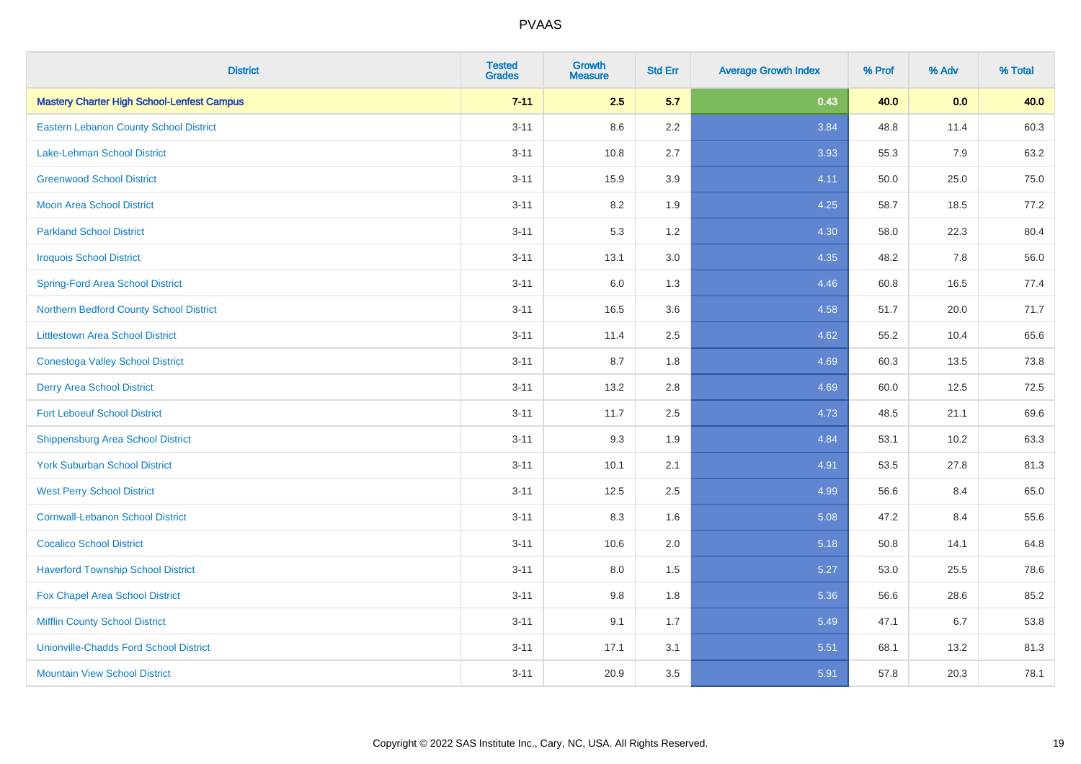| <b>District</b>                                   | <b>Tested</b><br><b>Grades</b> | <b>Growth</b><br><b>Measure</b> | <b>Std Err</b> | <b>Average Growth Index</b> | % Prof | % Adv | % Total |
|---------------------------------------------------|--------------------------------|---------------------------------|----------------|-----------------------------|--------|-------|---------|
| <b>Mastery Charter High School-Lenfest Campus</b> | $7 - 11$                       | 2.5                             | 5.7            | 0.43                        | 40.0   | 0.0   | 40.0    |
| Eastern Lebanon County School District            | $3 - 11$                       | 8.6                             | $2.2\,$        | 3.84                        | 48.8   | 11.4  | 60.3    |
| <b>Lake-Lehman School District</b>                | $3 - 11$                       | 10.8                            | 2.7            | 3.93                        | 55.3   | 7.9   | 63.2    |
| <b>Greenwood School District</b>                  | $3 - 11$                       | 15.9                            | 3.9            | 4.11                        | 50.0   | 25.0  | 75.0    |
| <b>Moon Area School District</b>                  | $3 - 11$                       | 8.2                             | 1.9            | 4.25                        | 58.7   | 18.5  | 77.2    |
| <b>Parkland School District</b>                   | $3 - 11$                       | 5.3                             | 1.2            | 4.30                        | 58.0   | 22.3  | 80.4    |
| <b>Iroquois School District</b>                   | $3 - 11$                       | 13.1                            | 3.0            | 4.35                        | 48.2   | 7.8   | 56.0    |
| <b>Spring-Ford Area School District</b>           | $3 - 11$                       | 6.0                             | 1.3            | 4.46                        | 60.8   | 16.5  | 77.4    |
| Northern Bedford County School District           | $3 - 11$                       | 16.5                            | 3.6            | 4.58                        | 51.7   | 20.0  | 71.7    |
| <b>Littlestown Area School District</b>           | $3 - 11$                       | 11.4                            | 2.5            | 4.62                        | 55.2   | 10.4  | 65.6    |
| <b>Conestoga Valley School District</b>           | $3 - 11$                       | 8.7                             | 1.8            | 4.69                        | 60.3   | 13.5  | 73.8    |
| <b>Derry Area School District</b>                 | $3 - 11$                       | 13.2                            | 2.8            | 4.69                        | 60.0   | 12.5  | 72.5    |
| <b>Fort Leboeuf School District</b>               | $3 - 11$                       | 11.7                            | 2.5            | 4.73                        | 48.5   | 21.1  | 69.6    |
| <b>Shippensburg Area School District</b>          | $3 - 11$                       | 9.3                             | 1.9            | 4.84                        | 53.1   | 10.2  | 63.3    |
| <b>York Suburban School District</b>              | $3 - 11$                       | 10.1                            | 2.1            | 4.91                        | 53.5   | 27.8  | 81.3    |
| <b>West Perry School District</b>                 | $3 - 11$                       | 12.5                            | 2.5            | 4.99                        | 56.6   | 8.4   | 65.0    |
| <b>Cornwall-Lebanon School District</b>           | $3 - 11$                       | 8.3                             | 1.6            | 5.08                        | 47.2   | 8.4   | 55.6    |
| <b>Cocalico School District</b>                   | $3 - 11$                       | 10.6                            | 2.0            | 5.18                        | 50.8   | 14.1  | 64.8    |
| <b>Haverford Township School District</b>         | $3 - 11$                       | 8.0                             | 1.5            | 5.27                        | 53.0   | 25.5  | 78.6    |
| Fox Chapel Area School District                   | $3 - 11$                       | 9.8                             | 1.8            | 5.36                        | 56.6   | 28.6  | 85.2    |
| <b>Mifflin County School District</b>             | $3 - 11$                       | 9.1                             | 1.7            | 5.49                        | 47.1   | 6.7   | 53.8    |
| <b>Unionville-Chadds Ford School District</b>     | $3 - 11$                       | 17.1                            | 3.1            | 5.51                        | 68.1   | 13.2  | 81.3    |
| <b>Mountain View School District</b>              | $3 - 11$                       | 20.9                            | 3.5            | 5.91                        | 57.8   | 20.3  | 78.1    |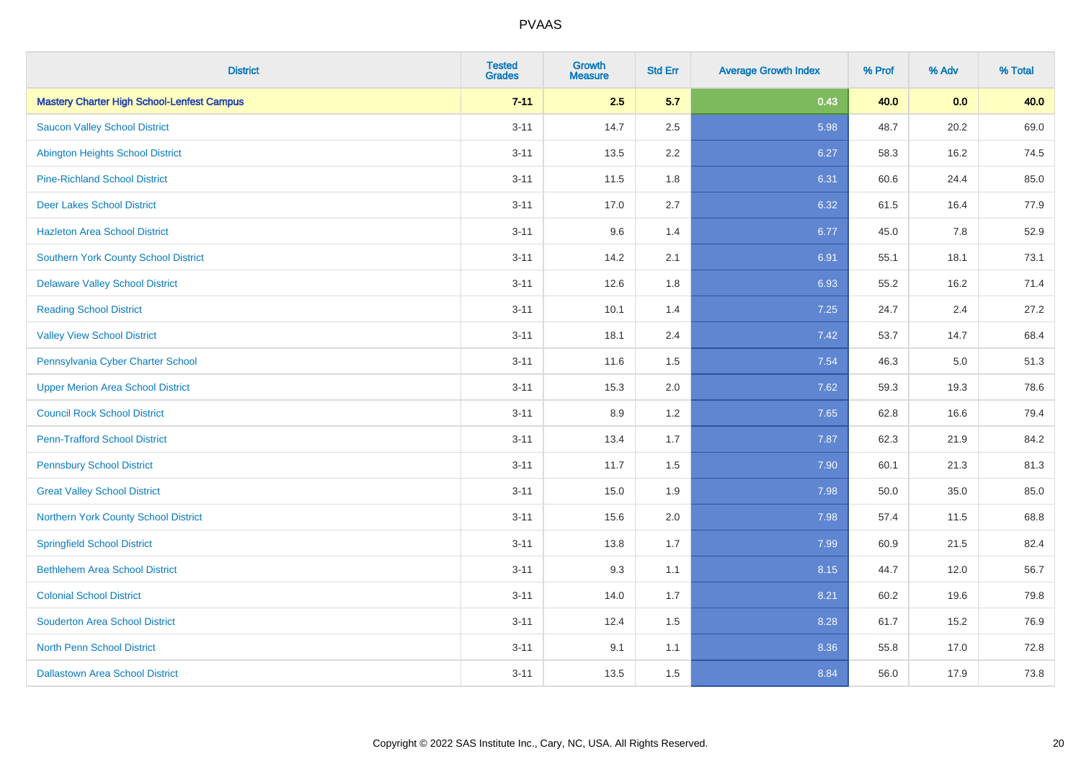| <b>District</b>                                   | <b>Tested</b><br><b>Grades</b> | Growth<br><b>Measure</b> | <b>Std Err</b> | <b>Average Growth Index</b> | % Prof | % Adv | % Total |
|---------------------------------------------------|--------------------------------|--------------------------|----------------|-----------------------------|--------|-------|---------|
| <b>Mastery Charter High School-Lenfest Campus</b> | $7 - 11$                       | 2.5                      | 5.7            | 0.43                        | 40.0   | 0.0   | 40.0    |
| <b>Saucon Valley School District</b>              | $3 - 11$                       | 14.7                     | 2.5            | 5.98                        | 48.7   | 20.2  | 69.0    |
| <b>Abington Heights School District</b>           | $3 - 11$                       | 13.5                     | 2.2            | 6.27                        | 58.3   | 16.2  | 74.5    |
| <b>Pine-Richland School District</b>              | $3 - 11$                       | 11.5                     | 1.8            | 6.31                        | 60.6   | 24.4  | 85.0    |
| <b>Deer Lakes School District</b>                 | $3 - 11$                       | 17.0                     | 2.7            | 6.32                        | 61.5   | 16.4  | 77.9    |
| <b>Hazleton Area School District</b>              | $3 - 11$                       | 9.6                      | 1.4            | 6.77                        | 45.0   | 7.8   | 52.9    |
| <b>Southern York County School District</b>       | $3 - 11$                       | 14.2                     | 2.1            | 6.91                        | 55.1   | 18.1  | 73.1    |
| <b>Delaware Valley School District</b>            | $3 - 11$                       | 12.6                     | 1.8            | 6.93                        | 55.2   | 16.2  | 71.4    |
| <b>Reading School District</b>                    | $3 - 11$                       | 10.1                     | 1.4            | 7.25                        | 24.7   | 2.4   | 27.2    |
| <b>Valley View School District</b>                | $3 - 11$                       | 18.1                     | 2.4            | 7.42                        | 53.7   | 14.7  | 68.4    |
| Pennsylvania Cyber Charter School                 | $3 - 11$                       | 11.6                     | 1.5            | 7.54                        | 46.3   | 5.0   | 51.3    |
| <b>Upper Merion Area School District</b>          | $3 - 11$                       | 15.3                     | 2.0            | 7.62                        | 59.3   | 19.3  | 78.6    |
| <b>Council Rock School District</b>               | $3 - 11$                       | 8.9                      | 1.2            | 7.65                        | 62.8   | 16.6  | 79.4    |
| <b>Penn-Trafford School District</b>              | $3 - 11$                       | 13.4                     | 1.7            | 7.87                        | 62.3   | 21.9  | 84.2    |
| <b>Pennsbury School District</b>                  | $3 - 11$                       | 11.7                     | 1.5            | 7.90                        | 60.1   | 21.3  | 81.3    |
| <b>Great Valley School District</b>               | $3 - 11$                       | 15.0                     | 1.9            | 7.98                        | 50.0   | 35.0  | 85.0    |
| Northern York County School District              | $3 - 11$                       | 15.6                     | 2.0            | 7.98                        | 57.4   | 11.5  | 68.8    |
| <b>Springfield School District</b>                | $3 - 11$                       | 13.8                     | 1.7            | 7.99                        | 60.9   | 21.5  | 82.4    |
| <b>Bethlehem Area School District</b>             | $3 - 11$                       | 9.3                      | 1.1            | 8.15                        | 44.7   | 12.0  | 56.7    |
| <b>Colonial School District</b>                   | $3 - 11$                       | 14.0                     | 1.7            | 8.21                        | 60.2   | 19.6  | 79.8    |
| <b>Souderton Area School District</b>             | $3 - 11$                       | 12.4                     | 1.5            | 8.28                        | 61.7   | 15.2  | 76.9    |
| <b>North Penn School District</b>                 | $3 - 11$                       | 9.1                      | 1.1            | 8.36                        | 55.8   | 17.0  | 72.8    |
| <b>Dallastown Area School District</b>            | $3 - 11$                       | 13.5                     | 1.5            | 8.84                        | 56.0   | 17.9  | 73.8    |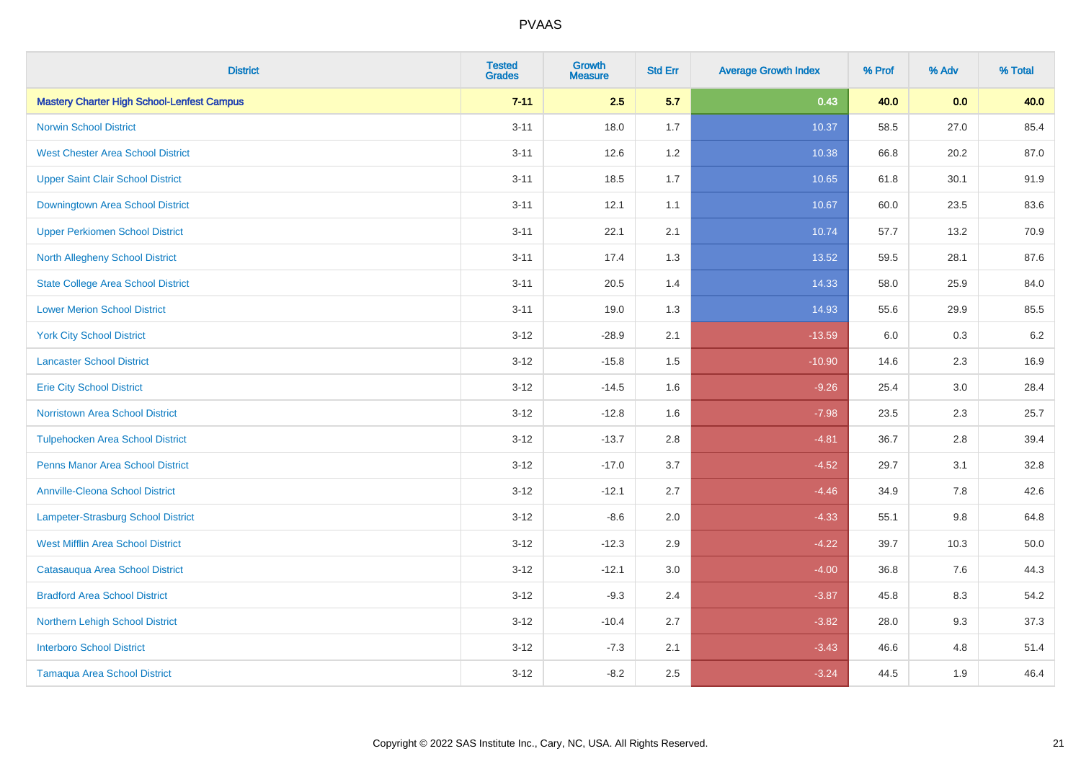| <b>District</b>                                   | <b>Tested</b><br><b>Grades</b> | <b>Growth</b><br><b>Measure</b> | <b>Std Err</b> | <b>Average Growth Index</b> | % Prof | % Adv   | % Total |
|---------------------------------------------------|--------------------------------|---------------------------------|----------------|-----------------------------|--------|---------|---------|
| <b>Mastery Charter High School-Lenfest Campus</b> | $7 - 11$                       | 2.5                             | 5.7            | 0.43                        | 40.0   | 0.0     | 40.0    |
| <b>Norwin School District</b>                     | $3 - 11$                       | 18.0                            | 1.7            | 10.37                       | 58.5   | 27.0    | 85.4    |
| <b>West Chester Area School District</b>          | $3 - 11$                       | 12.6                            | 1.2            | 10.38                       | 66.8   | 20.2    | 87.0    |
| <b>Upper Saint Clair School District</b>          | $3 - 11$                       | 18.5                            | 1.7            | 10.65                       | 61.8   | 30.1    | 91.9    |
| <b>Downingtown Area School District</b>           | $3 - 11$                       | 12.1                            | 1.1            | 10.67                       | 60.0   | 23.5    | 83.6    |
| <b>Upper Perkiomen School District</b>            | $3 - 11$                       | 22.1                            | 2.1            | 10.74                       | 57.7   | 13.2    | 70.9    |
| North Allegheny School District                   | $3 - 11$                       | 17.4                            | 1.3            | 13.52                       | 59.5   | 28.1    | 87.6    |
| <b>State College Area School District</b>         | $3 - 11$                       | 20.5                            | 1.4            | 14.33                       | 58.0   | 25.9    | 84.0    |
| <b>Lower Merion School District</b>               | $3 - 11$                       | 19.0                            | 1.3            | 14.93                       | 55.6   | 29.9    | 85.5    |
| <b>York City School District</b>                  | $3 - 12$                       | $-28.9$                         | 2.1            | $-13.59$                    | 6.0    | 0.3     | 6.2     |
| <b>Lancaster School District</b>                  | $3 - 12$                       | $-15.8$                         | 1.5            | $-10.90$                    | 14.6   | 2.3     | 16.9    |
| <b>Erie City School District</b>                  | $3 - 12$                       | $-14.5$                         | 1.6            | $-9.26$                     | 25.4   | 3.0     | 28.4    |
| Norristown Area School District                   | $3 - 12$                       | $-12.8$                         | 1.6            | $-7.98$                     | 23.5   | $2.3\,$ | 25.7    |
| <b>Tulpehocken Area School District</b>           | $3 - 12$                       | $-13.7$                         | 2.8            | $-4.81$                     | 36.7   | 2.8     | 39.4    |
| <b>Penns Manor Area School District</b>           | $3 - 12$                       | $-17.0$                         | 3.7            | $-4.52$                     | 29.7   | 3.1     | 32.8    |
| <b>Annville-Cleona School District</b>            | $3 - 12$                       | $-12.1$                         | 2.7            | $-4.46$                     | 34.9   | $7.8\,$ | 42.6    |
| Lampeter-Strasburg School District                | $3 - 12$                       | $-8.6$                          | 2.0            | $-4.33$                     | 55.1   | 9.8     | 64.8    |
| <b>West Mifflin Area School District</b>          | $3 - 12$                       | $-12.3$                         | 2.9            | $-4.22$                     | 39.7   | 10.3    | 50.0    |
| Catasauqua Area School District                   | $3 - 12$                       | $-12.1$                         | 3.0            | $-4.00$                     | 36.8   | 7.6     | 44.3    |
| <b>Bradford Area School District</b>              | $3 - 12$                       | $-9.3$                          | 2.4            | $-3.87$                     | 45.8   | 8.3     | 54.2    |
| Northern Lehigh School District                   | $3 - 12$                       | $-10.4$                         | 2.7            | $-3.82$                     | 28.0   | 9.3     | 37.3    |
| <b>Interboro School District</b>                  | $3 - 12$                       | $-7.3$                          | 2.1            | $-3.43$                     | 46.6   | 4.8     | 51.4    |
| <b>Tamaqua Area School District</b>               | $3 - 12$                       | $-8.2$                          | 2.5            | $-3.24$                     | 44.5   | 1.9     | 46.4    |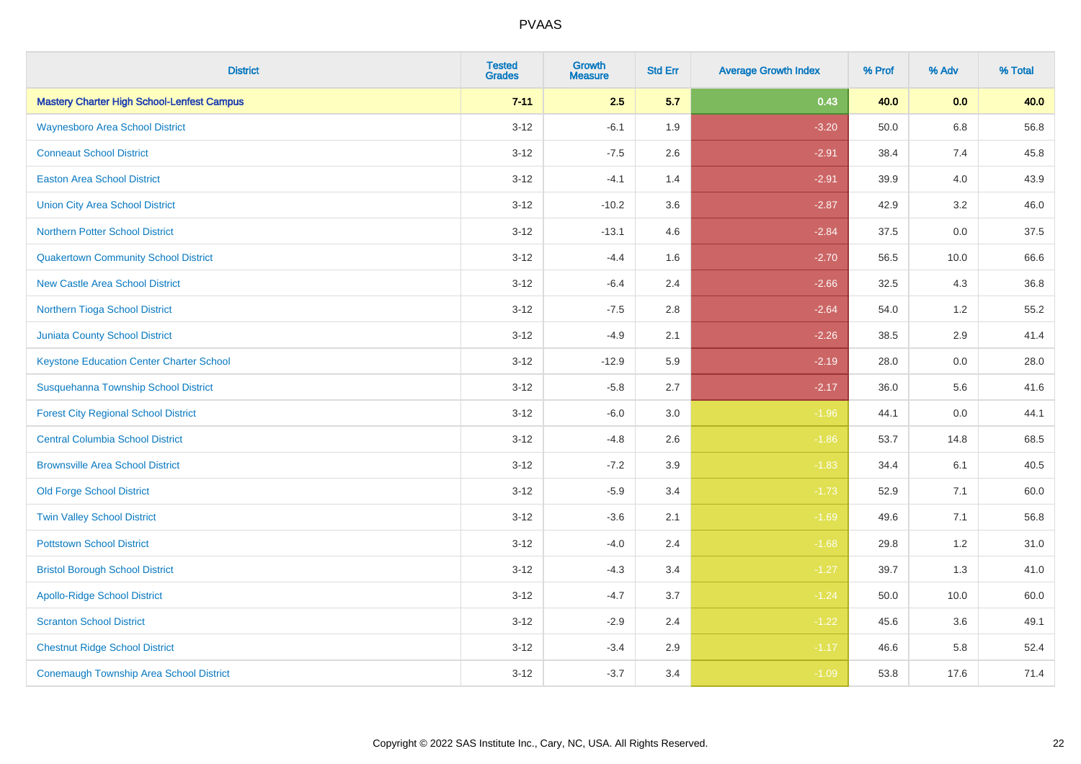| <b>District</b>                                   | <b>Tested</b><br><b>Grades</b> | <b>Growth</b><br><b>Measure</b> | <b>Std Err</b> | <b>Average Growth Index</b> | % Prof | % Adv   | % Total |
|---------------------------------------------------|--------------------------------|---------------------------------|----------------|-----------------------------|--------|---------|---------|
| <b>Mastery Charter High School-Lenfest Campus</b> | $7 - 11$                       | 2.5                             | 5.7            | 0.43                        | 40.0   | 0.0     | 40.0    |
| <b>Waynesboro Area School District</b>            | $3 - 12$                       | $-6.1$                          | 1.9            | $-3.20$                     | 50.0   | $6.8\,$ | 56.8    |
| <b>Conneaut School District</b>                   | $3 - 12$                       | $-7.5$                          | 2.6            | $-2.91$                     | 38.4   | 7.4     | 45.8    |
| <b>Easton Area School District</b>                | $3 - 12$                       | $-4.1$                          | 1.4            | $-2.91$                     | 39.9   | 4.0     | 43.9    |
| <b>Union City Area School District</b>            | $3 - 12$                       | $-10.2$                         | 3.6            | $-2.87$                     | 42.9   | 3.2     | 46.0    |
| Northern Potter School District                   | $3 - 12$                       | $-13.1$                         | 4.6            | $-2.84$                     | 37.5   | 0.0     | 37.5    |
| <b>Quakertown Community School District</b>       | $3 - 12$                       | $-4.4$                          | 1.6            | $-2.70$                     | 56.5   | 10.0    | 66.6    |
| <b>New Castle Area School District</b>            | $3 - 12$                       | $-6.4$                          | 2.4            | $-2.66$                     | 32.5   | 4.3     | 36.8    |
| Northern Tioga School District                    | $3 - 12$                       | $-7.5$                          | 2.8            | $-2.64$                     | 54.0   | 1.2     | 55.2    |
| <b>Juniata County School District</b>             | $3 - 12$                       | $-4.9$                          | 2.1            | $-2.26$                     | 38.5   | 2.9     | 41.4    |
| <b>Keystone Education Center Charter School</b>   | $3 - 12$                       | $-12.9$                         | 5.9            | $-2.19$                     | 28.0   | 0.0     | 28.0    |
| Susquehanna Township School District              | $3 - 12$                       | $-5.8$                          | 2.7            | $-2.17$                     | 36.0   | 5.6     | 41.6    |
| <b>Forest City Regional School District</b>       | $3 - 12$                       | $-6.0$                          | 3.0            | $-1.96$                     | 44.1   | 0.0     | 44.1    |
| <b>Central Columbia School District</b>           | $3 - 12$                       | $-4.8$                          | 2.6            | $-1.86$                     | 53.7   | 14.8    | 68.5    |
| <b>Brownsville Area School District</b>           | $3 - 12$                       | $-7.2$                          | 3.9            | $-1.83$                     | 34.4   | 6.1     | 40.5    |
| <b>Old Forge School District</b>                  | $3-12$                         | $-5.9$                          | 3.4            | $-1.73$                     | 52.9   | 7.1     | 60.0    |
| <b>Twin Valley School District</b>                | $3 - 12$                       | $-3.6$                          | 2.1            | $-1.69$                     | 49.6   | 7.1     | 56.8    |
| <b>Pottstown School District</b>                  | $3 - 12$                       | $-4.0$                          | 2.4            | $-1.68$                     | 29.8   | 1.2     | 31.0    |
| <b>Bristol Borough School District</b>            | $3 - 12$                       | $-4.3$                          | 3.4            | $-1.27$                     | 39.7   | 1.3     | 41.0    |
| <b>Apollo-Ridge School District</b>               | $3-12$                         | $-4.7$                          | 3.7            | $-1.24$                     | 50.0   | 10.0    | 60.0    |
| <b>Scranton School District</b>                   | $3 - 12$                       | $-2.9$                          | 2.4            | $-1.22$                     | 45.6   | 3.6     | 49.1    |
| <b>Chestnut Ridge School District</b>             | $3 - 12$                       | $-3.4$                          | 2.9            | $-1.17$                     | 46.6   | 5.8     | 52.4    |
| <b>Conemaugh Township Area School District</b>    | $3-12$                         | $-3.7$                          | 3.4            | $-1.09$                     | 53.8   | 17.6    | 71.4    |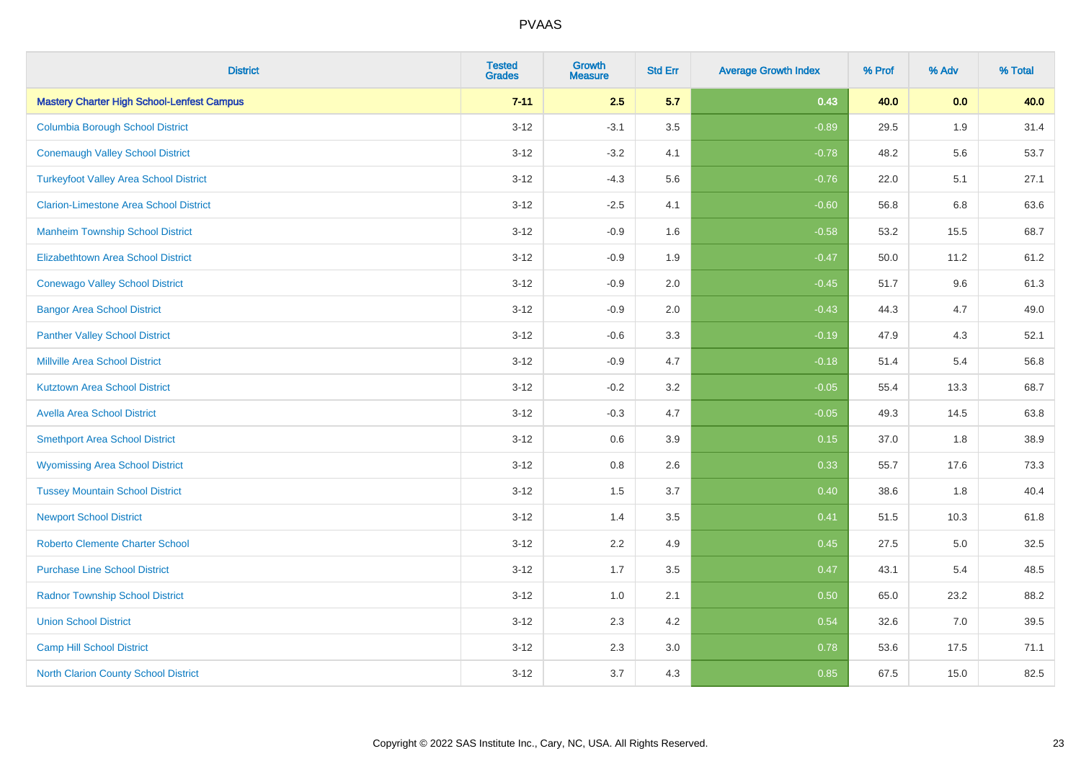| <b>District</b>                                   | <b>Tested</b><br><b>Grades</b> | <b>Growth</b><br><b>Measure</b> | <b>Std Err</b> | <b>Average Growth Index</b> | % Prof | % Adv | % Total |
|---------------------------------------------------|--------------------------------|---------------------------------|----------------|-----------------------------|--------|-------|---------|
| <b>Mastery Charter High School-Lenfest Campus</b> | $7 - 11$                       | 2.5                             | 5.7            | 0.43                        | 40.0   | 0.0   | 40.0    |
| <b>Columbia Borough School District</b>           | $3 - 12$                       | $-3.1$                          | 3.5            | $-0.89$                     | 29.5   | 1.9   | 31.4    |
| <b>Conemaugh Valley School District</b>           | $3 - 12$                       | $-3.2$                          | 4.1            | $-0.78$                     | 48.2   | 5.6   | 53.7    |
| <b>Turkeyfoot Valley Area School District</b>     | $3 - 12$                       | $-4.3$                          | 5.6            | $-0.76$                     | 22.0   | 5.1   | 27.1    |
| <b>Clarion-Limestone Area School District</b>     | $3 - 12$                       | $-2.5$                          | 4.1            | $-0.60$                     | 56.8   | 6.8   | 63.6    |
| <b>Manheim Township School District</b>           | $3 - 12$                       | $-0.9$                          | 1.6            | $-0.58$                     | 53.2   | 15.5  | 68.7    |
| Elizabethtown Area School District                | $3-12$                         | $-0.9$                          | 1.9            | $-0.47$                     | 50.0   | 11.2  | 61.2    |
| <b>Conewago Valley School District</b>            | $3 - 12$                       | $-0.9$                          | 2.0            | $-0.45$                     | 51.7   | 9.6   | 61.3    |
| <b>Bangor Area School District</b>                | $3 - 12$                       | $-0.9$                          | 2.0            | $-0.43$                     | 44.3   | 4.7   | 49.0    |
| <b>Panther Valley School District</b>             | $3 - 12$                       | $-0.6$                          | 3.3            | $-0.19$                     | 47.9   | 4.3   | 52.1    |
| <b>Millville Area School District</b>             | $3 - 12$                       | $-0.9$                          | 4.7            | $-0.18$                     | 51.4   | 5.4   | 56.8    |
| <b>Kutztown Area School District</b>              | $3 - 12$                       | $-0.2$                          | 3.2            | $-0.05$                     | 55.4   | 13.3  | 68.7    |
| <b>Avella Area School District</b>                | $3 - 12$                       | $-0.3$                          | 4.7            | $-0.05$                     | 49.3   | 14.5  | 63.8    |
| <b>Smethport Area School District</b>             | $3 - 12$                       | 0.6                             | 3.9            | 0.15                        | 37.0   | 1.8   | 38.9    |
| <b>Wyomissing Area School District</b>            | $3 - 12$                       | 0.8                             | 2.6            | 0.33                        | 55.7   | 17.6  | 73.3    |
| <b>Tussey Mountain School District</b>            | $3 - 12$                       | 1.5                             | 3.7            | 0.40                        | 38.6   | 1.8   | 40.4    |
| <b>Newport School District</b>                    | $3 - 12$                       | 1.4                             | 3.5            | 0.41                        | 51.5   | 10.3  | 61.8    |
| <b>Roberto Clemente Charter School</b>            | $3 - 12$                       | 2.2                             | 4.9            | 0.45                        | 27.5   | 5.0   | 32.5    |
| <b>Purchase Line School District</b>              | $3 - 12$                       | 1.7                             | 3.5            | 0.47                        | 43.1   | 5.4   | 48.5    |
| <b>Radnor Township School District</b>            | $3 - 12$                       | 1.0                             | 2.1            | 0.50                        | 65.0   | 23.2  | 88.2    |
| <b>Union School District</b>                      | $3 - 12$                       | 2.3                             | 4.2            | 0.54                        | 32.6   | 7.0   | 39.5    |
| Camp Hill School District                         | $3 - 12$                       | 2.3                             | 3.0            | 0.78                        | 53.6   | 17.5  | 71.1    |
| <b>North Clarion County School District</b>       | $3 - 12$                       | 3.7                             | 4.3            | 0.85                        | 67.5   | 15.0  | 82.5    |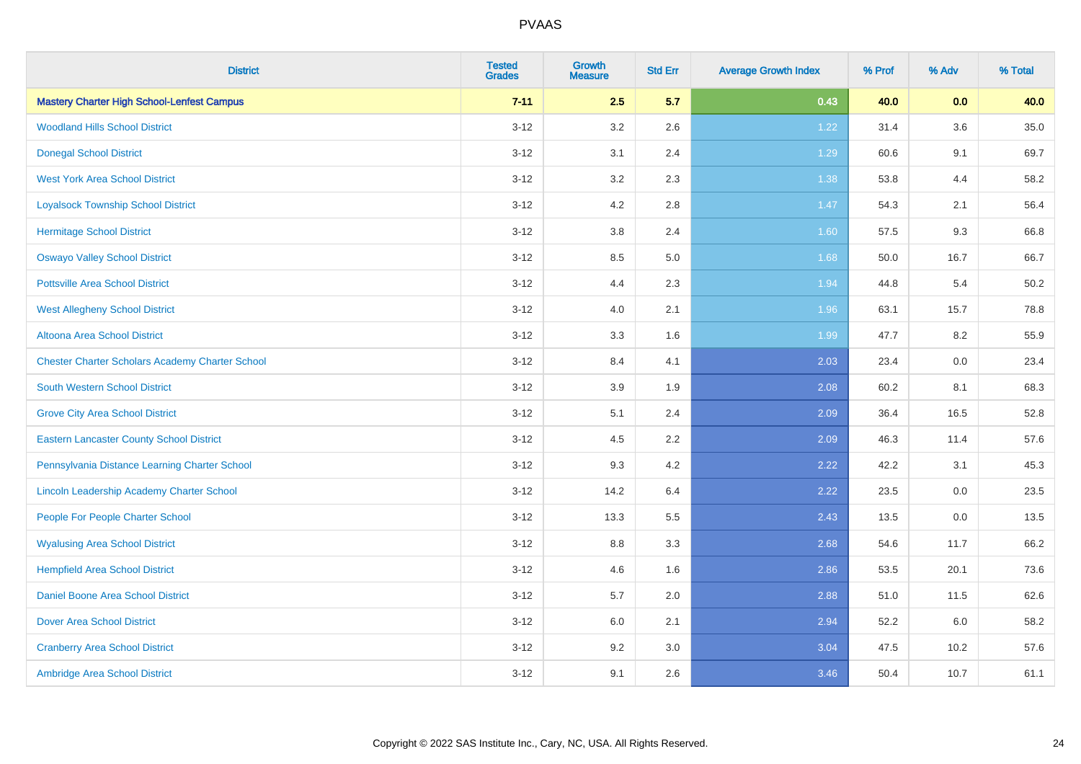| <b>District</b>                                        | <b>Tested</b><br><b>Grades</b> | <b>Growth</b><br><b>Measure</b> | <b>Std Err</b> | <b>Average Growth Index</b> | % Prof | % Adv | % Total |
|--------------------------------------------------------|--------------------------------|---------------------------------|----------------|-----------------------------|--------|-------|---------|
| <b>Mastery Charter High School-Lenfest Campus</b>      | $7 - 11$                       | 2.5                             | 5.7            | 0.43                        | 40.0   | 0.0   | 40.0    |
| <b>Woodland Hills School District</b>                  | $3-12$                         | 3.2                             | 2.6            | 1.22                        | 31.4   | 3.6   | 35.0    |
| <b>Donegal School District</b>                         | $3 - 12$                       | 3.1                             | 2.4            | 1.29                        | 60.6   | 9.1   | 69.7    |
| <b>West York Area School District</b>                  | $3 - 12$                       | 3.2                             | 2.3            | 1.38                        | 53.8   | 4.4   | 58.2    |
| <b>Loyalsock Township School District</b>              | $3 - 12$                       | 4.2                             | 2.8            | 1.47                        | 54.3   | 2.1   | 56.4    |
| <b>Hermitage School District</b>                       | $3 - 12$                       | $3.8\,$                         | 2.4            | 1.60                        | 57.5   | 9.3   | 66.8    |
| <b>Oswayo Valley School District</b>                   | $3 - 12$                       | 8.5                             | 5.0            | 1.68                        | 50.0   | 16.7  | 66.7    |
| <b>Pottsville Area School District</b>                 | $3 - 12$                       | 4.4                             | 2.3            | 1.94                        | 44.8   | 5.4   | 50.2    |
| <b>West Allegheny School District</b>                  | $3 - 12$                       | 4.0                             | 2.1            | 1.96                        | 63.1   | 15.7  | 78.8    |
| <b>Altoona Area School District</b>                    | $3 - 12$                       | 3.3                             | 1.6            | 1.99                        | 47.7   | 8.2   | 55.9    |
| <b>Chester Charter Scholars Academy Charter School</b> | $3 - 12$                       | 8.4                             | 4.1            | 2.03                        | 23.4   | 0.0   | 23.4    |
| <b>South Western School District</b>                   | $3 - 12$                       | 3.9                             | 1.9            | 2.08                        | 60.2   | 8.1   | 68.3    |
| <b>Grove City Area School District</b>                 | $3 - 12$                       | 5.1                             | 2.4            | 2.09                        | 36.4   | 16.5  | 52.8    |
| <b>Eastern Lancaster County School District</b>        | $3 - 12$                       | 4.5                             | 2.2            | 2.09                        | 46.3   | 11.4  | 57.6    |
| Pennsylvania Distance Learning Charter School          | $3 - 12$                       | 9.3                             | 4.2            | 2.22                        | 42.2   | 3.1   | 45.3    |
| Lincoln Leadership Academy Charter School              | $3 - 12$                       | 14.2                            | 6.4            | 2.22                        | 23.5   | 0.0   | 23.5    |
| People For People Charter School                       | $3 - 12$                       | 13.3                            | 5.5            | 2.43                        | 13.5   | 0.0   | 13.5    |
| <b>Wyalusing Area School District</b>                  | $3 - 12$                       | 8.8                             | 3.3            | 2.68                        | 54.6   | 11.7  | 66.2    |
| <b>Hempfield Area School District</b>                  | $3 - 12$                       | 4.6                             | 1.6            | 2.86                        | 53.5   | 20.1  | 73.6    |
| <b>Daniel Boone Area School District</b>               | $3 - 12$                       | 5.7                             | 2.0            | 2.88                        | 51.0   | 11.5  | 62.6    |
| <b>Dover Area School District</b>                      | $3 - 12$                       | 6.0                             | 2.1            | 2.94                        | 52.2   | 6.0   | 58.2    |
| <b>Cranberry Area School District</b>                  | $3 - 12$                       | 9.2                             | 3.0            | 3.04                        | 47.5   | 10.2  | 57.6    |
| Ambridge Area School District                          | $3 - 12$                       | 9.1                             | 2.6            | 3.46                        | 50.4   | 10.7  | 61.1    |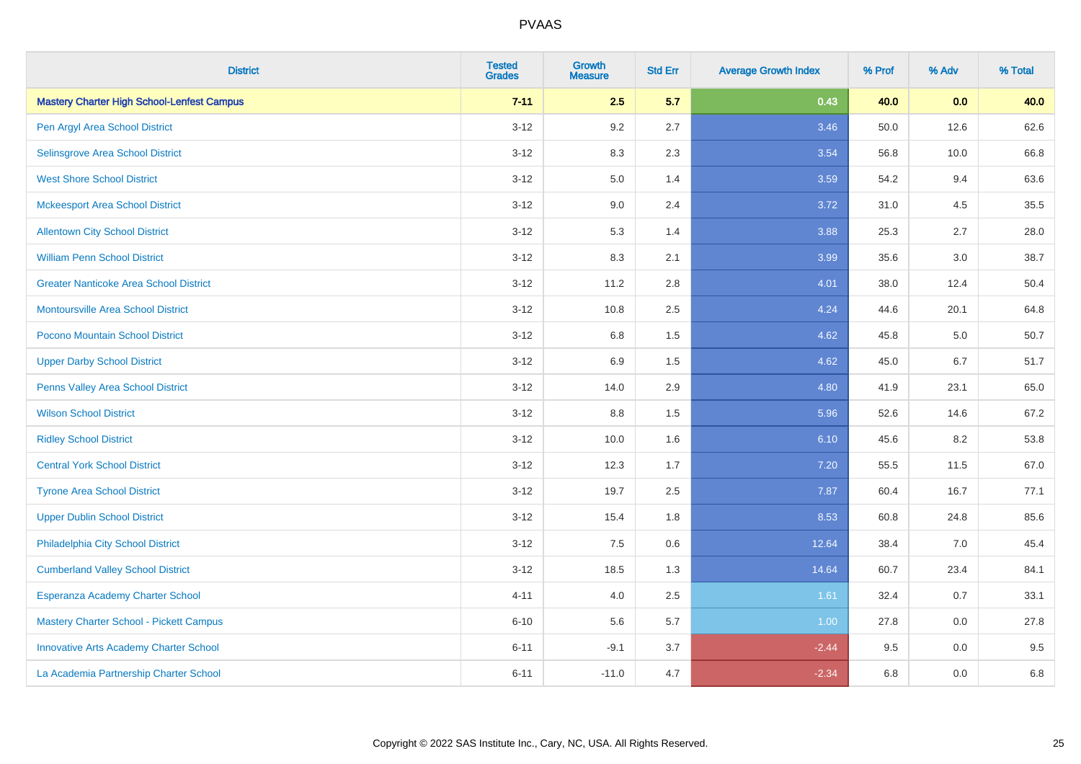| <b>District</b>                                   | <b>Tested</b><br><b>Grades</b> | Growth<br><b>Measure</b> | <b>Std Err</b> | <b>Average Growth Index</b> | % Prof | % Adv | % Total |
|---------------------------------------------------|--------------------------------|--------------------------|----------------|-----------------------------|--------|-------|---------|
| <b>Mastery Charter High School-Lenfest Campus</b> | $7 - 11$                       | 2.5                      | 5.7            | 0.43                        | 40.0   | 0.0   | 40.0    |
| Pen Argyl Area School District                    | $3 - 12$                       | 9.2                      | 2.7            | 3.46                        | 50.0   | 12.6  | 62.6    |
| <b>Selinsgrove Area School District</b>           | $3 - 12$                       | 8.3                      | 2.3            | 3.54                        | 56.8   | 10.0  | 66.8    |
| <b>West Shore School District</b>                 | $3 - 12$                       | 5.0                      | 1.4            | 3.59                        | 54.2   | 9.4   | 63.6    |
| <b>Mckeesport Area School District</b>            | $3 - 12$                       | 9.0                      | 2.4            | 3.72                        | 31.0   | 4.5   | 35.5    |
| <b>Allentown City School District</b>             | $3 - 12$                       | 5.3                      | 1.4            | 3.88                        | 25.3   | 2.7   | 28.0    |
| <b>William Penn School District</b>               | $3 - 12$                       | 8.3                      | 2.1            | 3.99                        | 35.6   | 3.0   | 38.7    |
| <b>Greater Nanticoke Area School District</b>     | $3 - 12$                       | 11.2                     | 2.8            | 4.01                        | 38.0   | 12.4  | 50.4    |
| Montoursville Area School District                | $3 - 12$                       | 10.8                     | 2.5            | 4.24                        | 44.6   | 20.1  | 64.8    |
| Pocono Mountain School District                   | $3 - 12$                       | 6.8                      | 1.5            | 4.62                        | 45.8   | 5.0   | 50.7    |
| <b>Upper Darby School District</b>                | $3 - 12$                       | 6.9                      | 1.5            | 4.62                        | 45.0   | 6.7   | 51.7    |
| Penns Valley Area School District                 | $3 - 12$                       | 14.0                     | 2.9            | 4.80                        | 41.9   | 23.1  | 65.0    |
| <b>Wilson School District</b>                     | $3 - 12$                       | $8.8\,$                  | 1.5            | 5.96                        | 52.6   | 14.6  | 67.2    |
| <b>Ridley School District</b>                     | $3 - 12$                       | 10.0                     | 1.6            | 6.10                        | 45.6   | 8.2   | 53.8    |
| <b>Central York School District</b>               | $3 - 12$                       | 12.3                     | 1.7            | 7.20                        | 55.5   | 11.5  | 67.0    |
| <b>Tyrone Area School District</b>                | $3 - 12$                       | 19.7                     | 2.5            | 7.87                        | 60.4   | 16.7  | 77.1    |
| <b>Upper Dublin School District</b>               | $3 - 12$                       | 15.4                     | 1.8            | 8.53                        | 60.8   | 24.8  | 85.6    |
| Philadelphia City School District                 | $3 - 12$                       | 7.5                      | 0.6            | 12.64                       | 38.4   | 7.0   | 45.4    |
| <b>Cumberland Valley School District</b>          | $3 - 12$                       | 18.5                     | 1.3            | 14.64                       | 60.7   | 23.4  | 84.1    |
| Esperanza Academy Charter School                  | $4 - 11$                       | 4.0                      | 2.5            | 1.61                        | 32.4   | 0.7   | 33.1    |
| <b>Mastery Charter School - Pickett Campus</b>    | $6 - 10$                       | 5.6                      | 5.7            | 1.00                        | 27.8   | 0.0   | 27.8    |
| <b>Innovative Arts Academy Charter School</b>     | $6 - 11$                       | $-9.1$                   | 3.7            | $-2.44$                     | 9.5    | 0.0   | 9.5     |
| La Academia Partnership Charter School            | $6 - 11$                       | $-11.0$                  | 4.7            | $-2.34$                     | 6.8    | 0.0   | 6.8     |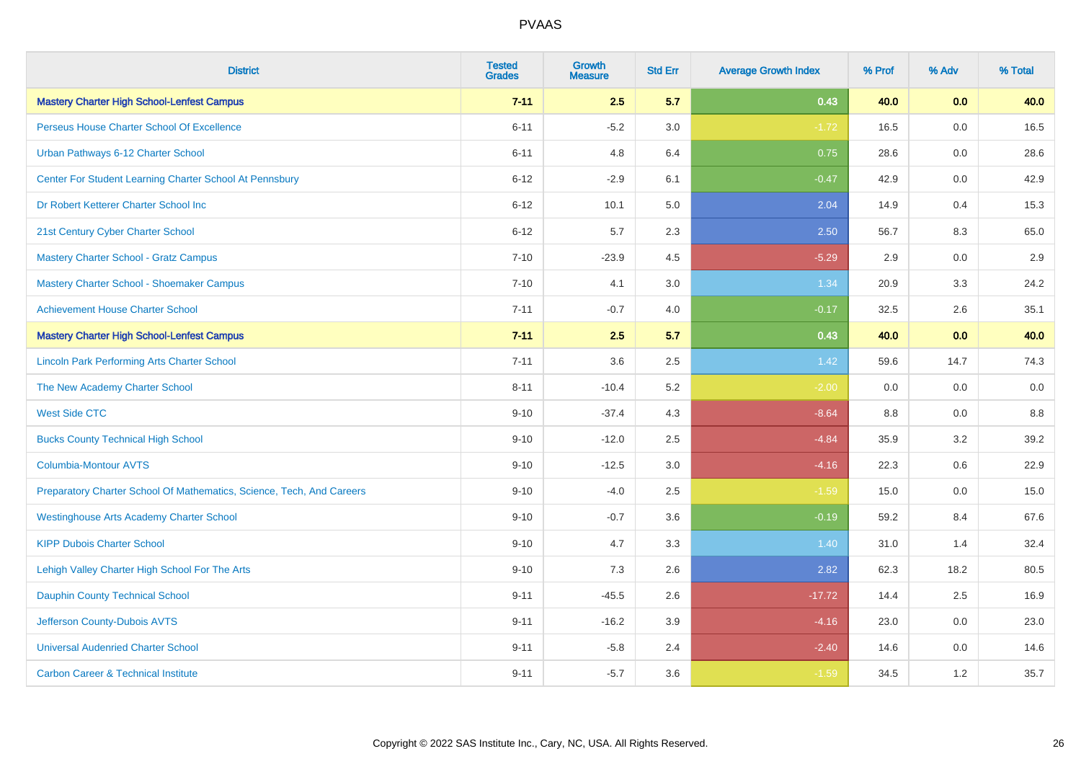| <b>District</b>                                                       | <b>Tested</b><br><b>Grades</b> | <b>Growth</b><br><b>Measure</b> | <b>Std Err</b> | <b>Average Growth Index</b> | % Prof  | % Adv   | % Total |
|-----------------------------------------------------------------------|--------------------------------|---------------------------------|----------------|-----------------------------|---------|---------|---------|
| <b>Mastery Charter High School-Lenfest Campus</b>                     | $7 - 11$                       | 2.5                             | 5.7            | 0.43                        | 40.0    | 0.0     | 40.0    |
| Perseus House Charter School Of Excellence                            | $6 - 11$                       | $-5.2$                          | 3.0            | $-1.72$                     | 16.5    | 0.0     | 16.5    |
| Urban Pathways 6-12 Charter School                                    | $6 - 11$                       | 4.8                             | 6.4            | 0.75                        | 28.6    | 0.0     | 28.6    |
| Center For Student Learning Charter School At Pennsbury               | $6 - 12$                       | $-2.9$                          | 6.1            | $-0.47$                     | 42.9    | 0.0     | 42.9    |
| Dr Robert Ketterer Charter School Inc                                 | $6 - 12$                       | 10.1                            | 5.0            | 2.04                        | 14.9    | 0.4     | 15.3    |
| 21st Century Cyber Charter School                                     | $6 - 12$                       | 5.7                             | 2.3            | 2.50                        | 56.7    | 8.3     | 65.0    |
| <b>Mastery Charter School - Gratz Campus</b>                          | $7 - 10$                       | $-23.9$                         | 4.5            | $-5.29$                     | 2.9     | 0.0     | 2.9     |
| <b>Mastery Charter School - Shoemaker Campus</b>                      | $7 - 10$                       | 4.1                             | 3.0            | 1.34                        | 20.9    | 3.3     | 24.2    |
| <b>Achievement House Charter School</b>                               | $7 - 11$                       | $-0.7$                          | 4.0            | $-0.17$                     | 32.5    | 2.6     | 35.1    |
| <b>Mastery Charter High School-Lenfest Campus</b>                     | $7 - 11$                       | 2.5                             | 5.7            | 0.43                        | 40.0    | 0.0     | 40.0    |
| <b>Lincoln Park Performing Arts Charter School</b>                    | $7 - 11$                       | 3.6                             | 2.5            | $1.42$                      | 59.6    | 14.7    | 74.3    |
| The New Academy Charter School                                        | $8 - 11$                       | $-10.4$                         | 5.2            | $-2.00$                     | 0.0     | 0.0     | 0.0     |
| <b>West Side CTC</b>                                                  | $9 - 10$                       | $-37.4$                         | 4.3            | $-8.64$                     | $8.8\,$ | 0.0     | $8.8\,$ |
| <b>Bucks County Technical High School</b>                             | $9 - 10$                       | $-12.0$                         | 2.5            | $-4.84$                     | 35.9    | 3.2     | 39.2    |
| <b>Columbia-Montour AVTS</b>                                          | $9 - 10$                       | $-12.5$                         | 3.0            | $-4.16$                     | 22.3    | $0.6\,$ | 22.9    |
| Preparatory Charter School Of Mathematics, Science, Tech, And Careers | $9 - 10$                       | $-4.0$                          | 2.5            | $-1.59$                     | 15.0    | $0.0\,$ | 15.0    |
| <b>Westinghouse Arts Academy Charter School</b>                       | $9 - 10$                       | $-0.7$                          | 3.6            | $-0.19$                     | 59.2    | 8.4     | 67.6    |
| <b>KIPP Dubois Charter School</b>                                     | $9 - 10$                       | 4.7                             | 3.3            | 1.40                        | 31.0    | 1.4     | 32.4    |
| Lehigh Valley Charter High School For The Arts                        | $9 - 10$                       | 7.3                             | 2.6            | 2.82                        | 62.3    | 18.2    | 80.5    |
| <b>Dauphin County Technical School</b>                                | $9 - 11$                       | $-45.5$                         | 2.6            | $-17.72$                    | 14.4    | 2.5     | 16.9    |
| Jefferson County-Dubois AVTS                                          | $9 - 11$                       | $-16.2$                         | 3.9            | $-4.16$                     | 23.0    | 0.0     | 23.0    |
| <b>Universal Audenried Charter School</b>                             | $9 - 11$                       | $-5.8$                          | 2.4            | $-2.40$                     | 14.6    | 0.0     | 14.6    |
| <b>Carbon Career &amp; Technical Institute</b>                        | $9 - 11$                       | $-5.7$                          | 3.6            | $-1.59$                     | 34.5    | 1.2     | 35.7    |